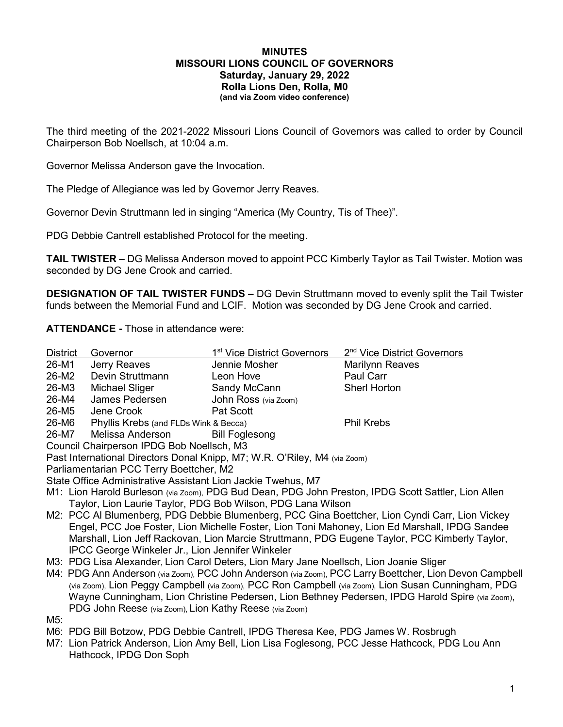#### **MINUTES MISSOURI LIONS COUNCIL OF GOVERNORS Saturday, January 29, 2022 Rolla Lions Den, Rolla, M0 (and via Zoom video conference)**

The third meeting of the 2021-2022 Missouri Lions Council of Governors was called to order by Council Chairperson Bob Noellsch, at 10:04 a.m.

Governor Melissa Anderson gave the Invocation.

The Pledge of Allegiance was led by Governor Jerry Reaves.

Governor Devin Struttmann led in singing "America (My Country, Tis of Thee)".

PDG Debbie Cantrell established Protocol for the meeting.

**TAIL TWISTER –** DG Melissa Anderson moved to appoint PCC Kimberly Taylor as Tail Twister. Motion was seconded by DG Jene Crook and carried.

**DESIGNATION OF TAIL TWISTER FUNDS –** DG Devin Struttmann moved to evenly split the Tail Twister funds between the Memorial Fund and LCIF. Motion was seconded by DG Jene Crook and carried.

**ATTENDANCE -** Those in attendance were:

| <b>District</b>                                                                                     | Governor                              | 1 <sup>st</sup> Vice District Governors | 2 <sup>nd</sup> Vice District Governors |
|-----------------------------------------------------------------------------------------------------|---------------------------------------|-----------------------------------------|-----------------------------------------|
| 26-M1                                                                                               | Jerry Reaves                          | Jennie Mosher                           | <b>Marilynn Reaves</b>                  |
| 26-M2                                                                                               | Devin Struttmann                      | Leon Hove                               | <b>Paul Carr</b>                        |
| 26-M3                                                                                               | Michael Sliger                        | Sandy McCann                            | <b>Sherl Horton</b>                     |
| 26-M4                                                                                               | James Pedersen                        | John Ross (via Zoom)                    |                                         |
| 26-M5                                                                                               | Jene Crook                            | Pat Scott                               |                                         |
| 26-M6                                                                                               | Phyllis Krebs (and FLDs Wink & Becca) |                                         | <b>Phil Krebs</b>                       |
| 26-M7                                                                                               | Melissa Anderson                      | <b>Bill Foglesong</b>                   |                                         |
| Council Chairperson IPDG Bob Noellsch, M3                                                           |                                       |                                         |                                         |
| Past International Directors Donal Knipp, M7; W.R. O'Riley, M4 (via Zoom)                           |                                       |                                         |                                         |
| Parliamentarian PCC Terry Boettcher, M2                                                             |                                       |                                         |                                         |
| State Office Administrative Assistant Lion Jackie Twehus, M7                                        |                                       |                                         |                                         |
| M1: Lion Harold Burleson (via Zoom), PDG Bud Dean, PDG John Preston, IPDG Scott Sattler, Lion Allen |                                       |                                         |                                         |

Taylor, Lion Laurie Taylor, PDG Bob Wilson, PDG Lana Wilson

- M2: PCC Al Blumenberg, PDG Debbie Blumenberg, PCC Gina Boettcher, Lion Cyndi Carr, Lion Vickey Engel, PCC Joe Foster, Lion Michelle Foster, Lion Toni Mahoney, Lion Ed Marshall, IPDG Sandee Marshall, Lion Jeff Rackovan, Lion Marcie Struttmann, PDG Eugene Taylor, PCC Kimberly Taylor, IPCC George Winkeler Jr., Lion Jennifer Winkeler
- M3: PDG Lisa Alexander, Lion Carol Deters, Lion Mary Jane Noellsch, Lion Joanie Sliger
- M4: PDG Ann Anderson (via Zoom), PCC John Anderson (via Zoom), PCC Larry Boettcher, Lion Devon Campbell (via Zoom), Lion Peggy Campbell (via Zoom), PCC Ron Campbell (via Zoom), Lion Susan Cunningham, PDG Wayne Cunningham, Lion Christine Pedersen, Lion Bethney Pedersen, IPDG Harold Spire (via Zoom), PDG John Reese (via Zoom), Lion Kathy Reese (via Zoom)

M5:

- M6: PDG Bill Botzow, PDG Debbie Cantrell, IPDG Theresa Kee, PDG James W. Rosbrugh
- M7: Lion Patrick Anderson, Lion Amy Bell, Lion Lisa Foglesong, PCC Jesse Hathcock, PDG Lou Ann Hathcock, IPDG Don Soph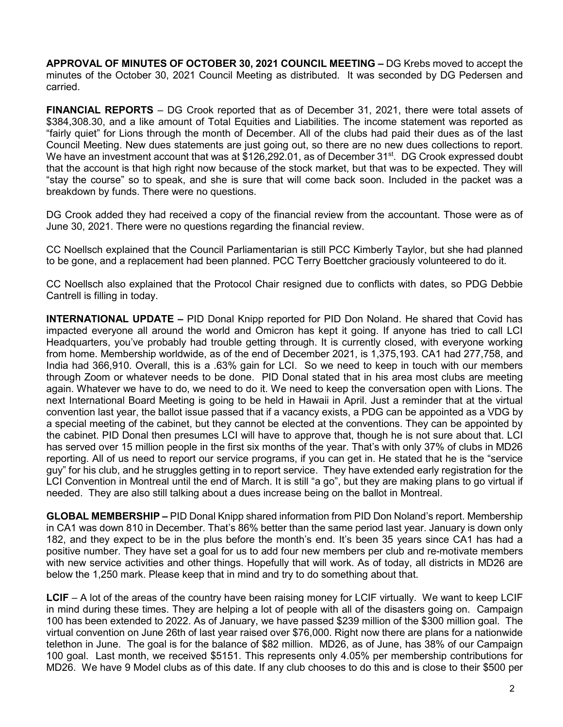**APPROVAL OF MINUTES OF OCTOBER 30, 2021 COUNCIL MEETING –** DG Krebs moved to accept the minutes of the October 30, 2021 Council Meeting as distributed. It was seconded by DG Pedersen and carried.

**FINANCIAL REPORTS** – DG Crook reported that as of December 31, 2021, there were total assets of \$384,308.30, and a like amount of Total Equities and Liabilities. The income statement was reported as "fairly quiet" for Lions through the month of December. All of the clubs had paid their dues as of the last Council Meeting. New dues statements are just going out, so there are no new dues collections to report. We have an investment account that was at \$126,292.01, as of December 31<sup>st</sup>. DG Crook expressed doubt that the account is that high right now because of the stock market, but that was to be expected. They will "stay the course" so to speak, and she is sure that will come back soon. Included in the packet was a breakdown by funds. There were no questions.

DG Crook added they had received a copy of the financial review from the accountant. Those were as of June 30, 2021. There were no questions regarding the financial review.

CC Noellsch explained that the Council Parliamentarian is still PCC Kimberly Taylor, but she had planned to be gone, and a replacement had been planned. PCC Terry Boettcher graciously volunteered to do it.

CC Noellsch also explained that the Protocol Chair resigned due to conflicts with dates, so PDG Debbie Cantrell is filling in today.

**INTERNATIONAL UPDATE –** PID Donal Knipp reported for PID Don Noland. He shared that Covid has impacted everyone all around the world and Omicron has kept it going. If anyone has tried to call LCI Headquarters, you've probably had trouble getting through. It is currently closed, with everyone working from home. Membership worldwide, as of the end of December 2021, is 1,375,193. CA1 had 277,758, and India had 366,910. Overall, this is a .63% gain for LCI. So we need to keep in touch with our members through Zoom or whatever needs to be done. PID Donal stated that in his area most clubs are meeting again. Whatever we have to do, we need to do it. We need to keep the conversation open with Lions. The next International Board Meeting is going to be held in Hawaii in April. Just a reminder that at the virtual convention last year, the ballot issue passed that if a vacancy exists, a PDG can be appointed as a VDG by a special meeting of the cabinet, but they cannot be elected at the conventions. They can be appointed by the cabinet. PID Donal then presumes LCI will have to approve that, though he is not sure about that. LCI has served over 15 million people in the first six months of the year. That's with only 37% of clubs in MD26 reporting. All of us need to report our service programs, if you can get in. He stated that he is the "service guy" for his club, and he struggles getting in to report service. They have extended early registration for the LCI Convention in Montreal until the end of March. It is still "a go", but they are making plans to go virtual if needed. They are also still talking about a dues increase being on the ballot in Montreal.

**GLOBAL MEMBERSHIP –** PID Donal Knipp shared information from PID Don Noland's report. Membership in CA1 was down 810 in December. That's 86% better than the same period last year. January is down only 182, and they expect to be in the plus before the month's end. It's been 35 years since CA1 has had a positive number. They have set a goal for us to add four new members per club and re-motivate members with new service activities and other things. Hopefully that will work. As of today, all districts in MD26 are below the 1,250 mark. Please keep that in mind and try to do something about that.

**LCIF** – A lot of the areas of the country have been raising money for LCIF virtually. We want to keep LCIF in mind during these times. They are helping a lot of people with all of the disasters going on. Campaign 100 has been extended to 2022. As of January, we have passed \$239 million of the \$300 million goal. The virtual convention on June 26th of last year raised over \$76,000. Right now there are plans for a nationwide telethon in June. The goal is for the balance of \$82 million. MD26, as of June, has 38% of our Campaign 100 goal. Last month, we received \$5151. This represents only 4.05% per membership contributions for MD26. We have 9 Model clubs as of this date. If any club chooses to do this and is close to their \$500 per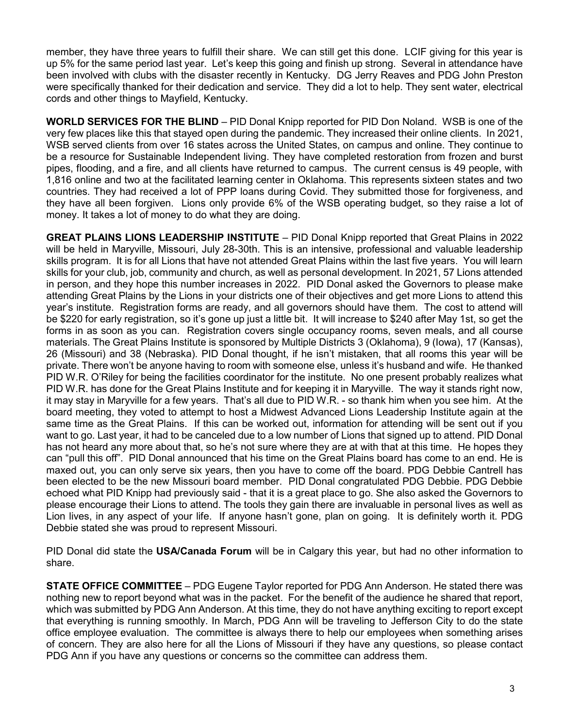member, they have three years to fulfill their share. We can still get this done. LCIF giving for this year is up 5% for the same period last year. Let's keep this going and finish up strong. Several in attendance have been involved with clubs with the disaster recently in Kentucky. DG Jerry Reaves and PDG John Preston were specifically thanked for their dedication and service. They did a lot to help. They sent water, electrical cords and other things to Mayfield, Kentucky.

**WORLD SERVICES FOR THE BLIND** – PID Donal Knipp reported for PID Don Noland. WSB is one of the very few places like this that stayed open during the pandemic. They increased their online clients. In 2021, WSB served clients from over 16 states across the United States, on campus and online. They continue to be a resource for Sustainable Independent living. They have completed restoration from frozen and burst pipes, flooding, and a fire, and all clients have returned to campus. The current census is 49 people, with 1,816 online and two at the facilitated learning center in Oklahoma. This represents sixteen states and two countries. They had received a lot of PPP loans during Covid. They submitted those for forgiveness, and they have all been forgiven. Lions only provide 6% of the WSB operating budget, so they raise a lot of money. It takes a lot of money to do what they are doing.

**GREAT PLAINS LIONS LEADERSHIP INSTITUTE** – PID Donal Knipp reported that Great Plains in 2022 will be held in Maryville, Missouri, July 28-30th. This is an intensive, professional and valuable leadership skills program. It is for all Lions that have not attended Great Plains within the last five years. You will learn skills for your club, job, community and church, as well as personal development. In 2021, 57 Lions attended in person, and they hope this number increases in 2022. PID Donal asked the Governors to please make attending Great Plains by the Lions in your districts one of their objectives and get more Lions to attend this year's institute. Registration forms are ready, and all governors should have them. The cost to attend will be \$220 for early registration, so it's gone up just a little bit. It will increase to \$240 after May 1st, so get the forms in as soon as you can. Registration covers single occupancy rooms, seven meals, and all course materials. The Great Plains Institute is sponsored by Multiple Districts 3 (Oklahoma), 9 (Iowa), 17 (Kansas), 26 (Missouri) and 38 (Nebraska). PID Donal thought, if he isn't mistaken, that all rooms this year will be private. There won't be anyone having to room with someone else, unless it's husband and wife. He thanked PID W.R. O'Riley for being the facilities coordinator for the institute. No one present probably realizes what PID W.R. has done for the Great Plains Institute and for keeping it in Maryville. The way it stands right now, it may stay in Maryville for a few years. That's all due to PID W.R. - so thank him when you see him. At the board meeting, they voted to attempt to host a Midwest Advanced Lions Leadership Institute again at the same time as the Great Plains. If this can be worked out, information for attending will be sent out if you want to go. Last year, it had to be canceled due to a low number of Lions that signed up to attend. PID Donal has not heard any more about that, so he's not sure where they are at with that at this time. He hopes they can "pull this off". PID Donal announced that his time on the Great Plains board has come to an end. He is maxed out, you can only serve six years, then you have to come off the board. PDG Debbie Cantrell has been elected to be the new Missouri board member. PID Donal congratulated PDG Debbie. PDG Debbie echoed what PID Knipp had previously said - that it is a great place to go. She also asked the Governors to please encourage their Lions to attend. The tools they gain there are invaluable in personal lives as well as Lion lives, in any aspect of your life. If anyone hasn't gone, plan on going. It is definitely worth it. PDG Debbie stated she was proud to represent Missouri.

PID Donal did state the **USA/Canada Forum** will be in Calgary this year, but had no other information to share.

**STATE OFFICE COMMITTEE** – PDG Eugene Taylor reported for PDG Ann Anderson. He stated there was nothing new to report beyond what was in the packet. For the benefit of the audience he shared that report, which was submitted by PDG Ann Anderson. At this time, they do not have anything exciting to report except that everything is running smoothly. In March, PDG Ann will be traveling to Jefferson City to do the state office employee evaluation. The committee is always there to help our employees when something arises of concern. They are also here for all the Lions of Missouri if they have any questions, so please contact PDG Ann if you have any questions or concerns so the committee can address them.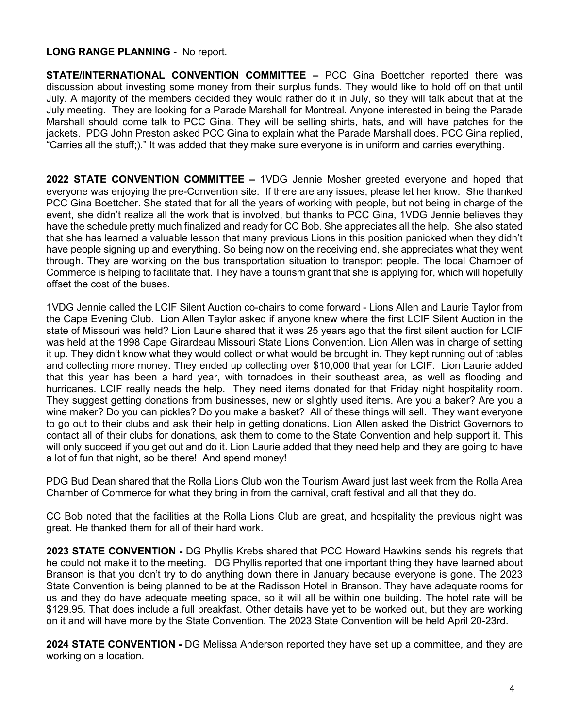#### **LONG RANGE PLANNING** - No report.

**STATE/INTERNATIONAL CONVENTION COMMITTEE –** PCC Gina Boettcher reported there was discussion about investing some money from their surplus funds. They would like to hold off on that until July. A majority of the members decided they would rather do it in July, so they will talk about that at the July meeting. They are looking for a Parade Marshall for Montreal. Anyone interested in being the Parade Marshall should come talk to PCC Gina. They will be selling shirts, hats, and will have patches for the jackets. PDG John Preston asked PCC Gina to explain what the Parade Marshall does. PCC Gina replied, "Carries all the stuff;)." It was added that they make sure everyone is in uniform and carries everything.

**2022 STATE CONVENTION COMMITTEE –** 1VDG Jennie Mosher greeted everyone and hoped that everyone was enjoying the pre-Convention site. If there are any issues, please let her know. She thanked PCC Gina Boettcher. She stated that for all the years of working with people, but not being in charge of the event, she didn't realize all the work that is involved, but thanks to PCC Gina, 1VDG Jennie believes they have the schedule pretty much finalized and ready for CC Bob. She appreciates all the help. She also stated that she has learned a valuable lesson that many previous Lions in this position panicked when they didn't have people signing up and everything. So being now on the receiving end, she appreciates what they went through. They are working on the bus transportation situation to transport people. The local Chamber of Commerce is helping to facilitate that. They have a tourism grant that she is applying for, which will hopefully offset the cost of the buses.

1VDG Jennie called the LCIF Silent Auction co-chairs to come forward - Lions Allen and Laurie Taylor from the Cape Evening Club. Lion Allen Taylor asked if anyone knew where the first LCIF Silent Auction in the state of Missouri was held? Lion Laurie shared that it was 25 years ago that the first silent auction for LCIF was held at the 1998 Cape Girardeau Missouri State Lions Convention. Lion Allen was in charge of setting it up. They didn't know what they would collect or what would be brought in. They kept running out of tables and collecting more money. They ended up collecting over \$10,000 that year for LCIF. Lion Laurie added that this year has been a hard year, with tornadoes in their southeast area, as well as flooding and hurricanes. LCIF really needs the help. They need items donated for that Friday night hospitality room. They suggest getting donations from businesses, new or slightly used items. Are you a baker? Are you a wine maker? Do you can pickles? Do you make a basket? All of these things will sell. They want everyone to go out to their clubs and ask their help in getting donations. Lion Allen asked the District Governors to contact all of their clubs for donations, ask them to come to the State Convention and help support it. This will only succeed if you get out and do it. Lion Laurie added that they need help and they are going to have a lot of fun that night, so be there! And spend money!

PDG Bud Dean shared that the Rolla Lions Club won the Tourism Award just last week from the Rolla Area Chamber of Commerce for what they bring in from the carnival, craft festival and all that they do.

CC Bob noted that the facilities at the Rolla Lions Club are great, and hospitality the previous night was great. He thanked them for all of their hard work.

**2023 STATE CONVENTION -** DG Phyllis Krebs shared that PCC Howard Hawkins sends his regrets that he could not make it to the meeting. DG Phyllis reported that one important thing they have learned about Branson is that you don't try to do anything down there in January because everyone is gone. The 2023 State Convention is being planned to be at the Radisson Hotel in Branson. They have adequate rooms for us and they do have adequate meeting space, so it will all be within one building. The hotel rate will be \$129.95. That does include a full breakfast. Other details have yet to be worked out, but they are working on it and will have more by the State Convention. The 2023 State Convention will be held April 20-23rd.

**2024 STATE CONVENTION -** DG Melissa Anderson reported they have set up a committee, and they are working on a location.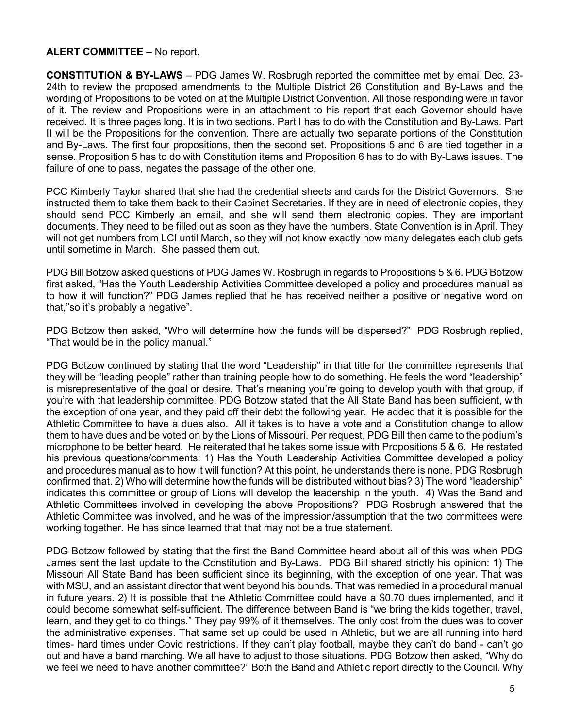#### **ALERT COMMITTEE –** No report.

**CONSTITUTION & BY-LAWS** – PDG James W. Rosbrugh reported the committee met by email Dec. 23- 24th to review the proposed amendments to the Multiple District 26 Constitution and By-Laws and the wording of Propositions to be voted on at the Multiple District Convention. All those responding were in favor of it. The review and Propositions were in an attachment to his report that each Governor should have received. It is three pages long. It is in two sections. Part I has to do with the Constitution and By-Laws. Part II will be the Propositions for the convention. There are actually two separate portions of the Constitution and By-Laws. The first four propositions, then the second set. Propositions 5 and 6 are tied together in a sense. Proposition 5 has to do with Constitution items and Proposition 6 has to do with By-Laws issues. The failure of one to pass, negates the passage of the other one.

PCC Kimberly Taylor shared that she had the credential sheets and cards for the District Governors. She instructed them to take them back to their Cabinet Secretaries. If they are in need of electronic copies, they should send PCC Kimberly an email, and she will send them electronic copies. They are important documents. They need to be filled out as soon as they have the numbers. State Convention is in April. They will not get numbers from LCI until March, so they will not know exactly how many delegates each club gets until sometime in March. She passed them out.

PDG Bill Botzow asked questions of PDG James W. Rosbrugh in regards to Propositions 5 & 6. PDG Botzow first asked, "Has the Youth Leadership Activities Committee developed a policy and procedures manual as to how it will function?" PDG James replied that he has received neither a positive or negative word on that,"so it's probably a negative".

PDG Botzow then asked, "Who will determine how the funds will be dispersed?" PDG Rosbrugh replied, "That would be in the policy manual."

PDG Botzow continued by stating that the word "Leadership" in that title for the committee represents that they will be "leading people" rather than training people how to do something. He feels the word "leadership" is misrepresentative of the goal or desire. That's meaning you're going to develop youth with that group, if you're with that leadership committee. PDG Botzow stated that the All State Band has been sufficient, with the exception of one year, and they paid off their debt the following year. He added that it is possible for the Athletic Committee to have a dues also. All it takes is to have a vote and a Constitution change to allow them to have dues and be voted on by the Lions of Missouri. Per request, PDG Bill then came to the podium's microphone to be better heard. He reiterated that he takes some issue with Propositions 5 & 6. He restated his previous questions/comments: 1) Has the Youth Leadership Activities Committee developed a policy and procedures manual as to how it will function? At this point, he understands there is none. PDG Rosbrugh confirmed that. 2) Who will determine how the funds will be distributed without bias? 3) The word "leadership" indicates this committee or group of Lions will develop the leadership in the youth. 4) Was the Band and Athletic Committees involved in developing the above Propositions? PDG Rosbrugh answered that the Athletic Committee was involved, and he was of the impression/assumption that the two committees were working together. He has since learned that that may not be a true statement.

PDG Botzow followed by stating that the first the Band Committee heard about all of this was when PDG James sent the last update to the Constitution and By-Laws. PDG Bill shared strictly his opinion: 1) The Missouri All State Band has been sufficient since its beginning, with the exception of one year. That was with MSU, and an assistant director that went beyond his bounds. That was remedied in a procedural manual in future years. 2) It is possible that the Athletic Committee could have a \$0.70 dues implemented, and it could become somewhat self-sufficient. The difference between Band is "we bring the kids together, travel, learn, and they get to do things." They pay 99% of it themselves. The only cost from the dues was to cover the administrative expenses. That same set up could be used in Athletic, but we are all running into hard times- hard times under Covid restrictions. If they can't play football, maybe they can't do band - can't go out and have a band marching. We all have to adjust to those situations. PDG Botzow then asked, "Why do we feel we need to have another committee?" Both the Band and Athletic report directly to the Council. Why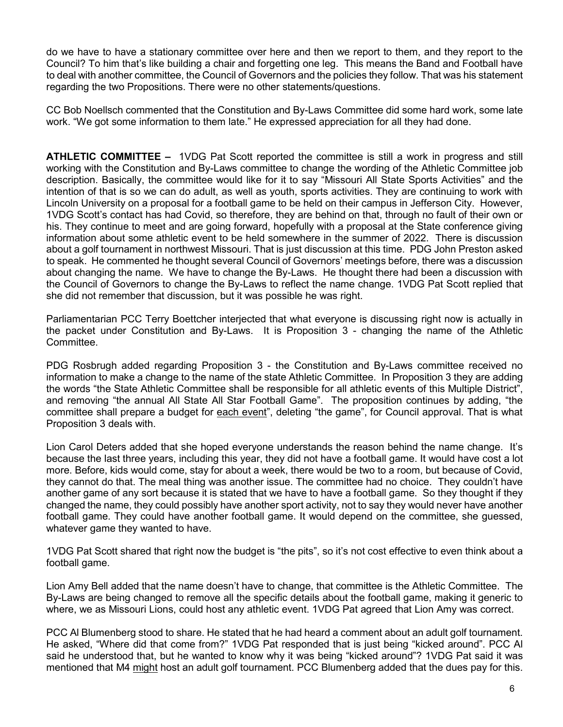do we have to have a stationary committee over here and then we report to them, and they report to the Council? To him that's like building a chair and forgetting one leg. This means the Band and Football have to deal with another committee, the Council of Governors and the policies they follow. That was his statement regarding the two Propositions. There were no other statements/questions.

CC Bob Noellsch commented that the Constitution and By-Laws Committee did some hard work, some late work. "We got some information to them late." He expressed appreciation for all they had done.

**ATHLETIC COMMITTEE –** 1VDG Pat Scott reported the committee is still a work in progress and still working with the Constitution and By-Laws committee to change the wording of the Athletic Committee job description. Basically, the committee would like for it to say "Missouri All State Sports Activities" and the intention of that is so we can do adult, as well as youth, sports activities. They are continuing to work with Lincoln University on a proposal for a football game to be held on their campus in Jefferson City. However, 1VDG Scott's contact has had Covid, so therefore, they are behind on that, through no fault of their own or his. They continue to meet and are going forward, hopefully with a proposal at the State conference giving information about some athletic event to be held somewhere in the summer of 2022. There is discussion about a golf tournament in northwest Missouri. That is just discussion at this time. PDG John Preston asked to speak. He commented he thought several Council of Governors' meetings before, there was a discussion about changing the name. We have to change the By-Laws. He thought there had been a discussion with the Council of Governors to change the By-Laws to reflect the name change. 1VDG Pat Scott replied that she did not remember that discussion, but it was possible he was right.

Parliamentarian PCC Terry Boettcher interjected that what everyone is discussing right now is actually in the packet under Constitution and By-Laws. It is Proposition 3 - changing the name of the Athletic Committee.

PDG Rosbrugh added regarding Proposition 3 - the Constitution and By-Laws committee received no information to make a change to the name of the state Athletic Committee. In Proposition 3 they are adding the words "the State Athletic Committee shall be responsible for all athletic events of this Multiple District", and removing "the annual All State All Star Football Game". The proposition continues by adding, "the committee shall prepare a budget for each event", deleting "the game", for Council approval. That is what Proposition 3 deals with.

Lion Carol Deters added that she hoped everyone understands the reason behind the name change. It's because the last three years, including this year, they did not have a football game. It would have cost a lot more. Before, kids would come, stay for about a week, there would be two to a room, but because of Covid, they cannot do that. The meal thing was another issue. The committee had no choice. They couldn't have another game of any sort because it is stated that we have to have a football game. So they thought if they changed the name, they could possibly have another sport activity, not to say they would never have another football game. They could have another football game. It would depend on the committee, she guessed, whatever game they wanted to have.

1VDG Pat Scott shared that right now the budget is "the pits", so it's not cost effective to even think about a football game.

Lion Amy Bell added that the name doesn't have to change, that committee is the Athletic Committee. The By-Laws are being changed to remove all the specific details about the football game, making it generic to where, we as Missouri Lions, could host any athletic event. 1VDG Pat agreed that Lion Amy was correct.

PCC Al Blumenberg stood to share. He stated that he had heard a comment about an adult golf tournament. He asked, "Where did that come from?" 1VDG Pat responded that is just being "kicked around". PCC Al said he understood that, but he wanted to know why it was being "kicked around"? 1VDG Pat said it was mentioned that M4 might host an adult golf tournament. PCC Blumenberg added that the dues pay for this.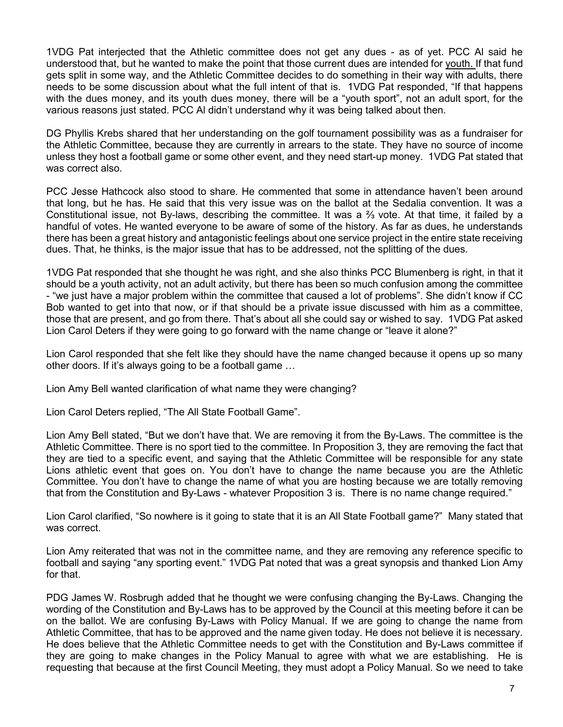1VDG Pat interjected that the Athletic committee does not get any dues - as of yet. PCC Al said he understood that, but he wanted to make the point that those current dues are intended for youth. If that fund gets split in some way, and the Athletic Committee decides to do something in their way with adults, there needs to be some discussion about what the full intent of that is. 1VDG Pat responded, "If that happens with the dues money, and its youth dues money, there will be a "youth sport", not an adult sport, for the various reasons just stated. PCC Al didn't understand why it was being talked about then.

DG Phyllis Krebs shared that her understanding on the golf tournament possibility was as a fundraiser for the Athletic Committee, because they are currently in arrears to the state. They have no source of income unless they host a football game or some other event, and they need start-up money. 1VDG Pat stated that was correct also.

PCC Jesse Hathcock also stood to share. He commented that some in attendance haven't been around that long, but he has. He said that this very issue was on the ballot at the Sedalia convention. It was a Constitutional issue, not By-laws, describing the committee. It was a ⅔ vote. At that time, it failed by a handful of votes. He wanted everyone to be aware of some of the history. As far as dues, he understands there has been a great history and antagonistic feelings about one service project in the entire state receiving dues. That, he thinks, is the major issue that has to be addressed, not the splitting of the dues.

1VDG Pat responded that she thought he was right, and she also thinks PCC Blumenberg is right, in that it should be a youth activity, not an adult activity, but there has been so much confusion among the committee - "we just have a major problem within the committee that caused a lot of problems". She didn't know if CC Bob wanted to get into that now, or if that should be a private issue discussed with him as a committee, those that are present, and go from there. That's about all she could say or wished to say. 1VDG Pat asked Lion Carol Deters if they were going to go forward with the name change or "leave it alone?"

Lion Carol responded that she felt like they should have the name changed because it opens up so many other doors. If it's always going to be a football game …

Lion Amy Bell wanted clarification of what name they were changing?

Lion Carol Deters replied, "The All State Football Game".

Lion Amy Bell stated, "But we don't have that. We are removing it from the By-Laws. The committee is the Athletic Committee. There is no sport tied to the committee. In Proposition 3, they are removing the fact that they are tied to a specific event, and saying that the Athletic Committee will be responsible for any state Lions athletic event that goes on. You don't have to change the name because you are the Athletic Committee. You don't have to change the name of what you are hosting because we are totally removing that from the Constitution and By-Laws - whatever Proposition 3 is. There is no name change required."

Lion Carol clarified, "So nowhere is it going to state that it is an All State Football game?" Many stated that was correct.

Lion Amy reiterated that was not in the committee name, and they are removing any reference specific to football and saying "any sporting event." 1VDG Pat noted that was a great synopsis and thanked Lion Amy for that.

PDG James W. Rosbrugh added that he thought we were confusing changing the By-Laws. Changing the wording of the Constitution and By-Laws has to be approved by the Council at this meeting before it can be on the ballot. We are confusing By-Laws with Policy Manual. If we are going to change the name from Athletic Committee, that has to be approved and the name given today. He does not believe it is necessary. He does believe that the Athletic Committee needs to get with the Constitution and By-Laws committee if they are going to make changes in the Policy Manual to agree with what we are establishing. He is requesting that because at the first Council Meeting, they must adopt a Policy Manual. So we need to take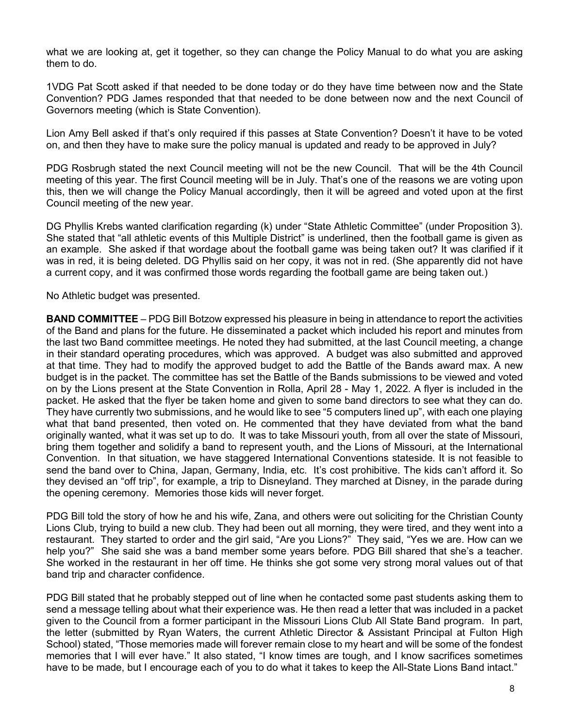what we are looking at, get it together, so they can change the Policy Manual to do what you are asking them to do.

1VDG Pat Scott asked if that needed to be done today or do they have time between now and the State Convention? PDG James responded that that needed to be done between now and the next Council of Governors meeting (which is State Convention).

Lion Amy Bell asked if that's only required if this passes at State Convention? Doesn't it have to be voted on, and then they have to make sure the policy manual is updated and ready to be approved in July?

PDG Rosbrugh stated the next Council meeting will not be the new Council. That will be the 4th Council meeting of this year. The first Council meeting will be in July. That's one of the reasons we are voting upon this, then we will change the Policy Manual accordingly, then it will be agreed and voted upon at the first Council meeting of the new year.

DG Phyllis Krebs wanted clarification regarding (k) under "State Athletic Committee" (under Proposition 3). She stated that "all athletic events of this Multiple District" is underlined, then the football game is given as an example. She asked if that wordage about the football game was being taken out? It was clarified if it was in red, it is being deleted. DG Phyllis said on her copy, it was not in red. (She apparently did not have a current copy, and it was confirmed those words regarding the football game are being taken out.)

No Athletic budget was presented.

**BAND COMMITTEE** – PDG BiIl Botzow expressed his pleasure in being in attendance to report the activities of the Band and plans for the future. He disseminated a packet which included his report and minutes from the last two Band committee meetings. He noted they had submitted, at the last Council meeting, a change in their standard operating procedures, which was approved. A budget was also submitted and approved at that time. They had to modify the approved budget to add the Battle of the Bands award max. A new budget is in the packet. The committee has set the Battle of the Bands submissions to be viewed and voted on by the Lions present at the State Convention in Rolla, April 28 - May 1, 2022. A flyer is included in the packet. He asked that the flyer be taken home and given to some band directors to see what they can do. They have currently two submissions, and he would like to see "5 computers lined up", with each one playing what that band presented, then voted on. He commented that they have deviated from what the band originally wanted, what it was set up to do. It was to take Missouri youth, from all over the state of Missouri, bring them together and solidify a band to represent youth, and the Lions of Missouri, at the International Convention. In that situation, we have staggered International Conventions stateside. It is not feasible to send the band over to China, Japan, Germany, India, etc. It's cost prohibitive. The kids can't afford it. So they devised an "off trip", for example, a trip to Disneyland. They marched at Disney, in the parade during the opening ceremony. Memories those kids will never forget.

PDG Bill told the story of how he and his wife, Zana, and others were out soliciting for the Christian County Lions Club, trying to build a new club. They had been out all morning, they were tired, and they went into a restaurant. They started to order and the girl said, "Are you Lions?" They said, "Yes we are. How can we help you?" She said she was a band member some years before. PDG Bill shared that she's a teacher. She worked in the restaurant in her off time. He thinks she got some very strong moral values out of that band trip and character confidence.

PDG Bill stated that he probably stepped out of line when he contacted some past students asking them to send a message telling about what their experience was. He then read a letter that was included in a packet given to the Council from a former participant in the Missouri Lions Club All State Band program. In part, the letter (submitted by Ryan Waters, the current Athletic Director & Assistant Principal at Fulton High School) stated, "Those memories made will forever remain close to my heart and will be some of the fondest memories that I will ever have." It also stated, "I know times are tough, and I know sacrifices sometimes have to be made, but I encourage each of you to do what it takes to keep the All-State Lions Band intact."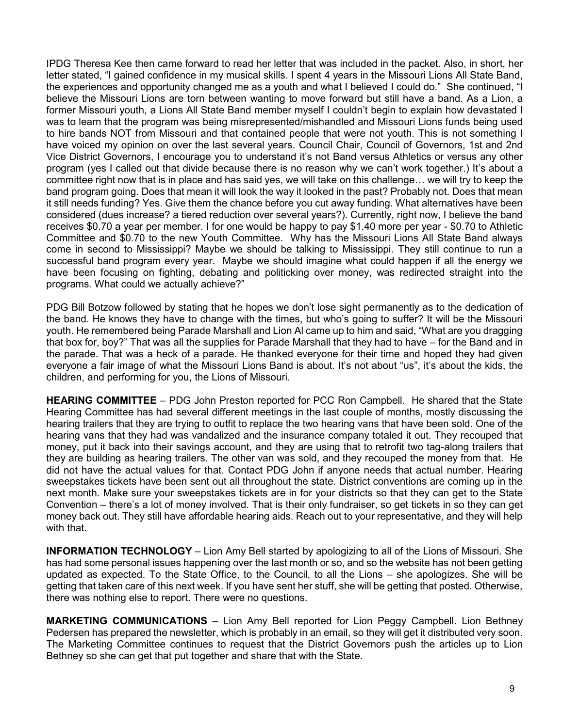IPDG Theresa Kee then came forward to read her letter that was included in the packet. Also, in short, her letter stated, "I gained confidence in my musical skills. I spent 4 years in the Missouri Lions All State Band, the experiences and opportunity changed me as a youth and what I believed I could do." She continued, "I believe the Missouri Lions are torn between wanting to move forward but still have a band. As a Lion, a former Missouri youth, a Lions All State Band member myself I couldn't begin to explain how devastated I was to learn that the program was being misrepresented/mishandled and Missouri Lions funds being used to hire bands NOT from Missouri and that contained people that were not youth. This is not something I have voiced my opinion on over the last several years. Council Chair, Council of Governors, 1st and 2nd Vice District Governors, I encourage you to understand it's not Band versus Athletics or versus any other program (yes I called out that divide because there is no reason why we can't work together.) It's about a committee right now that is in place and has said yes, we will take on this challenge… we will try to keep the band program going. Does that mean it will look the way it looked in the past? Probably not. Does that mean it still needs funding? Yes. Give them the chance before you cut away funding. What alternatives have been considered (dues increase? a tiered reduction over several years?). Currently, right now, I believe the band receives \$0.70 a year per member. I for one would be happy to pay \$1.40 more per year - \$0.70 to Athletic Committee and \$0.70 to the new Youth Committee. Why has the Missouri Lions All State Band always come in second to Mississippi? Maybe we should be talking to Mississippi. They still continue to run a successful band program every year. Maybe we should imagine what could happen if all the energy we have been focusing on fighting, debating and politicking over money, was redirected straight into the programs. What could we actually achieve?"

PDG Bill Botzow followed by stating that he hopes we don't lose sight permanently as to the dedication of the band. He knows they have to change with the times, but who's going to suffer? It will be the Missouri youth. He remembered being Parade Marshall and Lion Al came up to him and said, "What are you dragging that box for, boy?" That was all the supplies for Parade Marshall that they had to have – for the Band and in the parade. That was a heck of a parade. He thanked everyone for their time and hoped they had given everyone a fair image of what the Missouri Lions Band is about. It's not about "us", it's about the kids, the children, and performing for you, the Lions of Missouri.

**HEARING COMMITTEE** – PDG John Preston reported for PCC Ron Campbell. He shared that the State Hearing Committee has had several different meetings in the last couple of months, mostly discussing the hearing trailers that they are trying to outfit to replace the two hearing vans that have been sold. One of the hearing vans that they had was vandalized and the insurance company totaled it out. They recouped that money, put it back into their savings account, and they are using that to retrofit two tag-along trailers that they are building as hearing trailers. The other van was sold, and they recouped the money from that. He did not have the actual values for that. Contact PDG John if anyone needs that actual number. Hearing sweepstakes tickets have been sent out all throughout the state. District conventions are coming up in the next month. Make sure your sweepstakes tickets are in for your districts so that they can get to the State Convention – there's a lot of money involved. That is their only fundraiser, so get tickets in so they can get money back out. They still have affordable hearing aids. Reach out to your representative, and they will help with that.

**INFORMATION TECHNOLOGY** – Lion Amy Bell started by apologizing to all of the Lions of Missouri. She has had some personal issues happening over the last month or so, and so the website has not been getting updated as expected. To the State Office, to the Council, to all the Lions – she apologizes. She will be getting that taken care of this next week. If you have sent her stuff, she will be getting that posted. Otherwise, there was nothing else to report. There were no questions.

**MARKETING COMMUNICATIONS** – Lion Amy Bell reported for Lion Peggy Campbell. Lion Bethney Pedersen has prepared the newsletter, which is probably in an email, so they will get it distributed very soon. The Marketing Committee continues to request that the District Governors push the articles up to Lion Bethney so she can get that put together and share that with the State.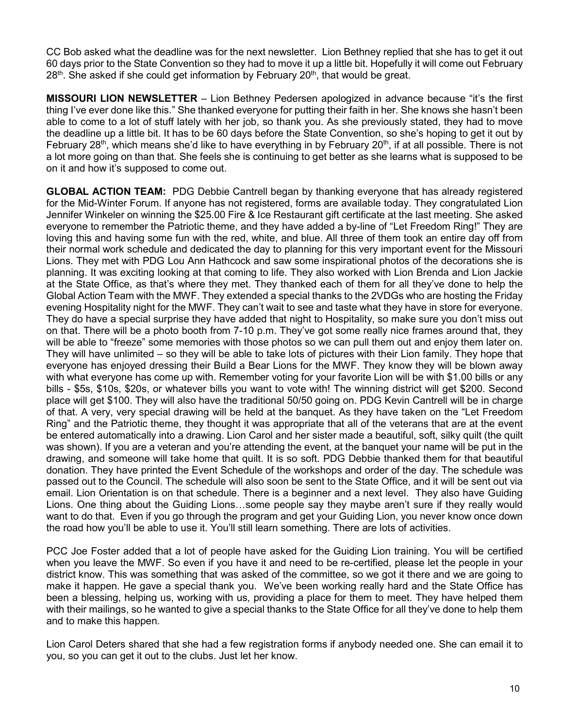CC Bob asked what the deadline was for the next newsletter. Lion Bethney replied that she has to get it out 60 days prior to the State Convention so they had to move it up a little bit. Hopefully it will come out February  $28<sup>th</sup>$ . She asked if she could get information by February  $20<sup>th</sup>$ , that would be great.

**MISSOURI LION NEWSLETTER** – Lion Bethney Pedersen apologized in advance because "it's the first thing I've ever done like this." She thanked everyone for putting their faith in her. She knows she hasn't been able to come to a lot of stuff lately with her job, so thank you. As she previously stated, they had to move the deadline up a little bit. It has to be 60 days before the State Convention, so she's hoping to get it out by February 28<sup>th</sup>, which means she'd like to have everything in by February 20<sup>th</sup>, if at all possible. There is not a lot more going on than that. She feels she is continuing to get better as she learns what is supposed to be on it and how it's supposed to come out.

**GLOBAL ACTION TEAM:** PDG Debbie Cantrell began by thanking everyone that has already registered for the Mid-Winter Forum. If anyone has not registered, forms are available today. They congratulated Lion Jennifer Winkeler on winning the \$25.00 Fire & Ice Restaurant gift certificate at the last meeting. She asked everyone to remember the Patriotic theme, and they have added a by-line of "Let Freedom Ring!" They are loving this and having some fun with the red, white, and blue. All three of them took an entire day off from their normal work schedule and dedicated the day to planning for this very important event for the Missouri Lions. They met with PDG Lou Ann Hathcock and saw some inspirational photos of the decorations she is planning. It was exciting looking at that coming to life. They also worked with Lion Brenda and Lion Jackie at the State Office, as that's where they met. They thanked each of them for all they've done to help the Global Action Team with the MWF. They extended a special thanks to the 2VDGs who are hosting the Friday evening Hospitality night for the MWF. They can't wait to see and taste what they have in store for everyone. They do have a special surprise they have added that night to Hospitality, so make sure you don't miss out on that. There will be a photo booth from 7-10 p.m. They've got some really nice frames around that, they will be able to "freeze" some memories with those photos so we can pull them out and enjoy them later on. They will have unlimited – so they will be able to take lots of pictures with their Lion family. They hope that everyone has enjoyed dressing their Build a Bear Lions for the MWF. They know they will be blown away with what everyone has come up with. Remember voting for your favorite Lion will be with \$1.00 bills or any bills - \$5s, \$10s, \$20s, or whatever bills you want to vote with! The winning district will get \$200. Second place will get \$100. They will also have the traditional 50/50 going on. PDG Kevin Cantrell will be in charge of that. A very, very special drawing will be held at the banquet. As they have taken on the "Let Freedom Ring" and the Patriotic theme, they thought it was appropriate that all of the veterans that are at the event be entered automatically into a drawing. Lion Carol and her sister made a beautiful, soft, silky quilt (the quilt was shown). If you are a veteran and you're attending the event, at the banquet your name will be put in the drawing, and someone will take home that quilt. It is so soft. PDG Debbie thanked them for that beautiful donation. They have printed the Event Schedule of the workshops and order of the day. The schedule was passed out to the Council. The schedule will also soon be sent to the State Office, and it will be sent out via email. Lion Orientation is on that schedule. There is a beginner and a next level. They also have Guiding Lions. One thing about the Guiding Lions…some people say they maybe aren't sure if they really would want to do that. Even if you go through the program and get your Guiding Lion, you never know once down the road how you'll be able to use it. You'll still learn something. There are lots of activities.

PCC Joe Foster added that a lot of people have asked for the Guiding Lion training. You will be certified when you leave the MWF. So even if you have it and need to be re-certified, please let the people in your district know. This was something that was asked of the committee, so we got it there and we are going to make it happen. He gave a special thank you. We've been working really hard and the State Office has been a blessing, helping us, working with us, providing a place for them to meet. They have helped them with their mailings, so he wanted to give a special thanks to the State Office for all they've done to help them and to make this happen.

Lion Carol Deters shared that she had a few registration forms if anybody needed one. She can email it to you, so you can get it out to the clubs. Just let her know.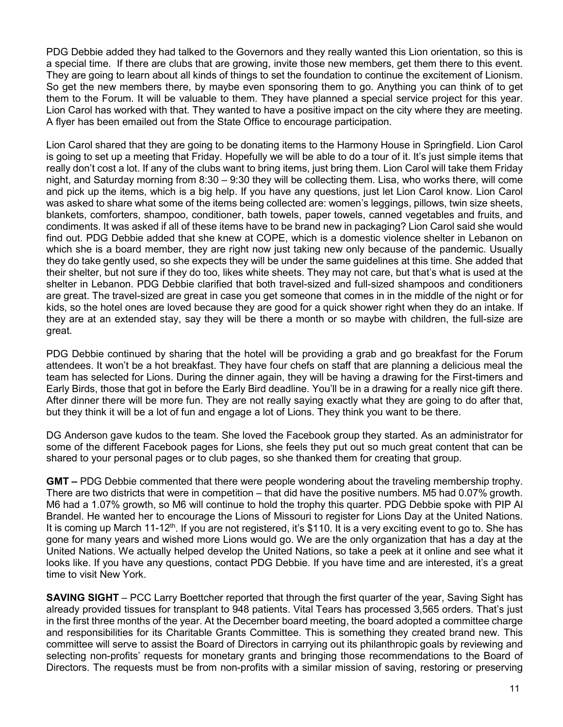PDG Debbie added they had talked to the Governors and they really wanted this Lion orientation, so this is a special time. If there are clubs that are growing, invite those new members, get them there to this event. They are going to learn about all kinds of things to set the foundation to continue the excitement of Lionism. So get the new members there, by maybe even sponsoring them to go. Anything you can think of to get them to the Forum. It will be valuable to them. They have planned a special service project for this year. Lion Carol has worked with that. They wanted to have a positive impact on the city where they are meeting. A flyer has been emailed out from the State Office to encourage participation.

Lion Carol shared that they are going to be donating items to the Harmony House in Springfield. Lion Carol is going to set up a meeting that Friday. Hopefully we will be able to do a tour of it. It's just simple items that really don't cost a lot. If any of the clubs want to bring items, just bring them. Lion Carol will take them Friday night, and Saturday morning from 8:30 – 9:30 they will be collecting them. Lisa, who works there, will come and pick up the items, which is a big help. If you have any questions, just let Lion Carol know. Lion Carol was asked to share what some of the items being collected are: women's leggings, pillows, twin size sheets, blankets, comforters, shampoo, conditioner, bath towels, paper towels, canned vegetables and fruits, and condiments. It was asked if all of these items have to be brand new in packaging? Lion Carol said she would find out. PDG Debbie added that she knew at COPE, which is a domestic violence shelter in Lebanon on which she is a board member, they are right now just taking new only because of the pandemic. Usually they do take gently used, so she expects they will be under the same guidelines at this time. She added that their shelter, but not sure if they do too, likes white sheets. They may not care, but that's what is used at the shelter in Lebanon. PDG Debbie clarified that both travel-sized and full-sized shampoos and conditioners are great. The travel-sized are great in case you get someone that comes in in the middle of the night or for kids, so the hotel ones are loved because they are good for a quick shower right when they do an intake. If they are at an extended stay, say they will be there a month or so maybe with children, the full-size are great.

PDG Debbie continued by sharing that the hotel will be providing a grab and go breakfast for the Forum attendees. It won't be a hot breakfast. They have four chefs on staff that are planning a delicious meal the team has selected for Lions. During the dinner again, they will be having a drawing for the First-timers and Early Birds, those that got in before the Early Bird deadline. You'll be in a drawing for a really nice gift there. After dinner there will be more fun. They are not really saying exactly what they are going to do after that, but they think it will be a lot of fun and engage a lot of Lions. They think you want to be there.

DG Anderson gave kudos to the team. She loved the Facebook group they started. As an administrator for some of the different Facebook pages for Lions, she feels they put out so much great content that can be shared to your personal pages or to club pages, so she thanked them for creating that group.

**GMT –** PDG Debbie commented that there were people wondering about the traveling membership trophy. There are two districts that were in competition – that did have the positive numbers. M5 had 0.07% growth. M6 had a 1.07% growth, so M6 will continue to hold the trophy this quarter. PDG Debbie spoke with PIP Al Brandel. He wanted her to encourage the Lions of Missouri to register for Lions Day at the United Nations. It is coming up March 11-12<sup>th</sup>. If you are not registered, it's \$110. It is a very exciting event to go to. She has gone for many years and wished more Lions would go. We are the only organization that has a day at the United Nations. We actually helped develop the United Nations, so take a peek at it online and see what it looks like. If you have any questions, contact PDG Debbie. If you have time and are interested, it's a great time to visit New York.

**SAVING SIGHT** – PCC Larry Boettcher reported that through the first quarter of the year, Saving Sight has already provided tissues for transplant to 948 patients. Vital Tears has processed 3,565 orders. That's just in the first three months of the year. At the December board meeting, the board adopted a committee charge and responsibilities for its Charitable Grants Committee. This is something they created brand new. This committee will serve to assist the Board of Directors in carrying out its philanthropic goals by reviewing and selecting non-profits' requests for monetary grants and bringing those recommendations to the Board of Directors. The requests must be from non-profits with a similar mission of saving, restoring or preserving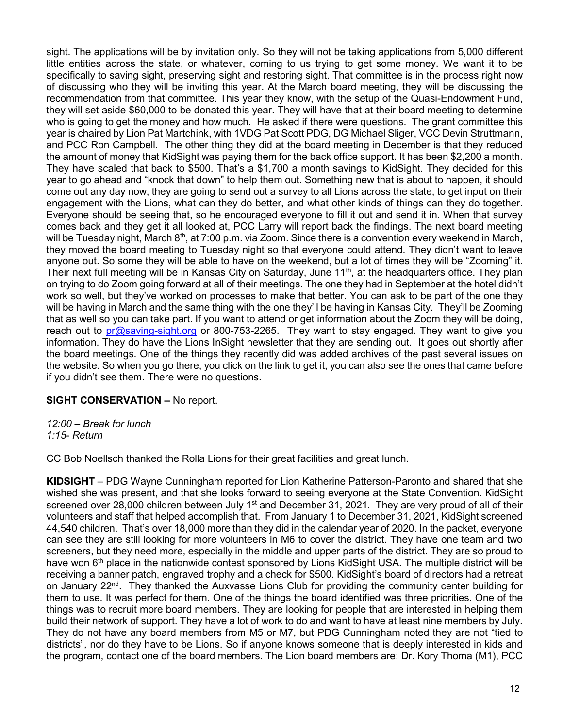sight. The applications will be by invitation only. So they will not be taking applications from 5,000 different little entities across the state, or whatever, coming to us trying to get some money. We want it to be specifically to saving sight, preserving sight and restoring sight. That committee is in the process right now of discussing who they will be inviting this year. At the March board meeting, they will be discussing the recommendation from that committee. This year they know, with the setup of the Quasi-Endowment Fund, they will set aside \$60,000 to be donated this year. They will have that at their board meeting to determine who is going to get the money and how much. He asked if there were questions. The grant committee this year is chaired by Lion Pat Martchink, with 1VDG Pat Scott PDG, DG Michael Sliger, VCC Devin Struttmann, and PCC Ron Campbell. The other thing they did at the board meeting in December is that they reduced the amount of money that KidSight was paying them for the back office support. It has been \$2,200 a month. They have scaled that back to \$500. That's a \$1,700 a month savings to KidSight. They decided for this year to go ahead and "knock that down" to help them out. Something new that is about to happen, it should come out any day now, they are going to send out a survey to all Lions across the state, to get input on their engagement with the Lions, what can they do better, and what other kinds of things can they do together. Everyone should be seeing that, so he encouraged everyone to fill it out and send it in. When that survey comes back and they get it all looked at, PCC Larry will report back the findings. The next board meeting will be Tuesday night, March 8<sup>th</sup>, at 7:00 p.m. via Zoom. Since there is a convention every weekend in March, they moved the board meeting to Tuesday night so that everyone could attend. They didn't want to leave anyone out. So some they will be able to have on the weekend, but a lot of times they will be "Zooming" it. Their next full meeting will be in Kansas City on Saturday, June 11<sup>th</sup>, at the headquarters office. They plan on trying to do Zoom going forward at all of their meetings. The one they had in September at the hotel didn't work so well, but they've worked on processes to make that better. You can ask to be part of the one they will be having in March and the same thing with the one they'll be having in Kansas City. They'll be Zooming that as well so you can take part. If you want to attend or get information about the Zoom they will be doing, reach out to [pr@saving-sight.org](mailto:pr@saving-sight.org) or 800-753-2265. They want to stay engaged. They want to give you information. They do have the Lions InSight newsletter that they are sending out. It goes out shortly after the board meetings. One of the things they recently did was added archives of the past several issues on the website. So when you go there, you click on the link to get it, you can also see the ones that came before if you didn't see them. There were no questions.

### **SIGHT CONSERVATION –** No report.

*12:00 – Break for lunch 1:15- Return*

CC Bob Noellsch thanked the Rolla Lions for their great facilities and great lunch.

**KIDSIGHT** – PDG Wayne Cunningham reported for Lion Katherine Patterson-Paronto and shared that she wished she was present, and that she looks forward to seeing everyone at the State Convention. KidSight screened over 28,000 children between July 1<sup>st</sup> and December 31, 2021. They are very proud of all of their volunteers and staff that helped accomplish that. From January 1 to December 31, 2021, KidSight screened 44,540 children. That's over 18,000 more than they did in the calendar year of 2020. In the packet, everyone can see they are still looking for more volunteers in M6 to cover the district. They have one team and two screeners, but they need more, especially in the middle and upper parts of the district. They are so proud to have won  $6<sup>th</sup>$  place in the nationwide contest sponsored by Lions KidSight USA. The multiple district will be receiving a banner patch, engraved trophy and a check for \$500. KidSight's board of directors had a retreat on January 22<sup>nd</sup>. They thanked the Auxvasse Lions Club for providing the community center building for them to use. It was perfect for them. One of the things the board identified was three priorities. One of the things was to recruit more board members. They are looking for people that are interested in helping them build their network of support. They have a lot of work to do and want to have at least nine members by July. They do not have any board members from M5 or M7, but PDG Cunningham noted they are not "tied to districts", nor do they have to be Lions. So if anyone knows someone that is deeply interested in kids and the program, contact one of the board members. The Lion board members are: Dr. Kory Thoma (M1), PCC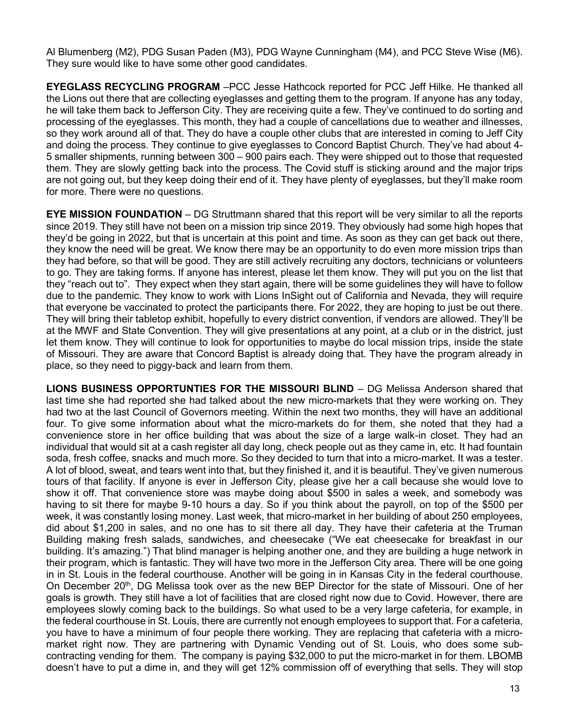Al Blumenberg (M2), PDG Susan Paden (M3), PDG Wayne Cunningham (M4), and PCC Steve Wise (M6). They sure would like to have some other good candidates.

**EYEGLASS RECYCLING PROGRAM** –PCC Jesse Hathcock reported for PCC Jeff Hilke. He thanked all the Lions out there that are collecting eyeglasses and getting them to the program. If anyone has any today, he will take them back to Jefferson City. They are receiving quite a few. They've continued to do sorting and processing of the eyeglasses. This month, they had a couple of cancellations due to weather and illnesses, so they work around all of that. They do have a couple other clubs that are interested in coming to Jeff City and doing the process. They continue to give eyeglasses to Concord Baptist Church. They've had about 4- 5 smaller shipments, running between 300 – 900 pairs each. They were shipped out to those that requested them. They are slowly getting back into the process. The Covid stuff is sticking around and the major trips are not going out, but they keep doing their end of it. They have plenty of eyeglasses, but they'll make room for more. There were no questions.

**EYE MISSION FOUNDATION** – DG Struttmann shared that this report will be very similar to all the reports since 2019. They still have not been on a mission trip since 2019. They obviously had some high hopes that they'd be going in 2022, but that is uncertain at this point and time. As soon as they can get back out there, they know the need will be great. We know there may be an opportunity to do even more mission trips than they had before, so that will be good. They are still actively recruiting any doctors, technicians or volunteers to go. They are taking forms. If anyone has interest, please let them know. They will put you on the list that they "reach out to". They expect when they start again, there will be some guidelines they will have to follow due to the pandemic. They know to work with Lions InSight out of California and Nevada, they will require that everyone be vaccinated to protect the participants there. For 2022, they are hoping to just be out there. They will bring their tabletop exhibit, hopefully to every district convention, if vendors are allowed. They'll be at the MWF and State Convention. They will give presentations at any point, at a club or in the district, just let them know. They will continue to look for opportunities to maybe do local mission trips, inside the state of Missouri. They are aware that Concord Baptist is already doing that. They have the program already in place, so they need to piggy-back and learn from them.

**LIONS BUSINESS OPPORTUNTIES FOR THE MISSOURI BLIND** – DG Melissa Anderson shared that last time she had reported she had talked about the new micro-markets that they were working on. They had two at the last Council of Governors meeting. Within the next two months, they will have an additional four. To give some information about what the micro-markets do for them, she noted that they had a convenience store in her office building that was about the size of a large walk-in closet. They had an individual that would sit at a cash register all day long, check people out as they came in, etc. It had fountain soda, fresh coffee, snacks and much more. So they decided to turn that into a micro-market. It was a tester. A lot of blood, sweat, and tears went into that, but they finished it, and it is beautiful. They've given numerous tours of that facility. If anyone is ever in Jefferson City, please give her a call because she would love to show it off. That convenience store was maybe doing about \$500 in sales a week, and somebody was having to sit there for maybe 9-10 hours a day. So if you think about the payroll, on top of the \$500 per week, it was constantly losing money. Last week, that micro-market in her building of about 250 employees, did about \$1,200 in sales, and no one has to sit there all day. They have their cafeteria at the Truman Building making fresh salads, sandwiches, and cheesecake ("We eat cheesecake for breakfast in our building. It's amazing.") That blind manager is helping another one, and they are building a huge network in their program, which is fantastic. They will have two more in the Jefferson City area. There will be one going in in St. Louis in the federal courthouse. Another will be going in in Kansas City in the federal courthouse. On December 20<sup>th</sup>, DG Melissa took over as the new BEP Director for the state of Missouri. One of her goals is growth. They still have a lot of facilities that are closed right now due to Covid. However, there are employees slowly coming back to the buildings. So what used to be a very large cafeteria, for example, in the federal courthouse in St. Louis, there are currently not enough employees to support that. For a cafeteria, you have to have a minimum of four people there working. They are replacing that cafeteria with a micromarket right now. They are partnering with Dynamic Vending out of St. Louis, who does some subcontracting vending for them. The company is paying \$32,000 to put the micro-market in for them. LBOMB doesn't have to put a dime in, and they will get 12% commission off of everything that sells. They will stop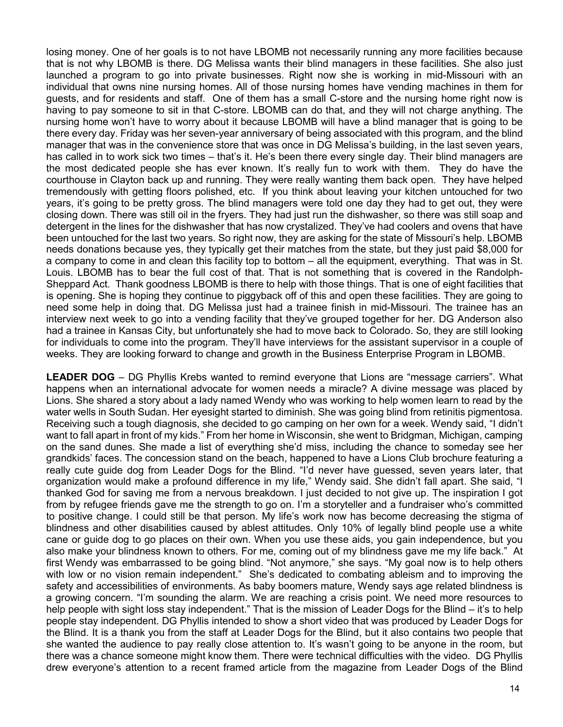losing money. One of her goals is to not have LBOMB not necessarily running any more facilities because that is not why LBOMB is there. DG Melissa wants their blind managers in these facilities. She also just launched a program to go into private businesses. Right now she is working in mid-Missouri with an individual that owns nine nursing homes. All of those nursing homes have vending machines in them for guests, and for residents and staff. One of them has a small C-store and the nursing home right now is having to pay someone to sit in that C-store. LBOMB can do that, and they will not charge anything. The nursing home won't have to worry about it because LBOMB will have a blind manager that is going to be there every day. Friday was her seven-year anniversary of being associated with this program, and the blind manager that was in the convenience store that was once in DG Melissa's building, in the last seven years, has called in to work sick two times – that's it. He's been there every single day. Their blind managers are the most dedicated people she has ever known. It's really fun to work with them. They do have the courthouse in Clayton back up and running. They were really wanting them back open. They have helped tremendously with getting floors polished, etc. If you think about leaving your kitchen untouched for two years, it's going to be pretty gross. The blind managers were told one day they had to get out, they were closing down. There was still oil in the fryers. They had just run the dishwasher, so there was still soap and detergent in the lines for the dishwasher that has now crystalized. They've had coolers and ovens that have been untouched for the last two years. So right now, they are asking for the state of Missouri's help. LBOMB needs donations because yes, they typically get their matches from the state, but they just paid \$8,000 for a company to come in and clean this facility top to bottom – all the equipment, everything. That was in St. Louis. LBOMB has to bear the full cost of that. That is not something that is covered in the Randolph-Sheppard Act. Thank goodness LBOMB is there to help with those things. That is one of eight facilities that is opening. She is hoping they continue to piggyback off of this and open these facilities. They are going to need some help in doing that. DG Melissa just had a trainee finish in mid-Missouri. The trainee has an interview next week to go into a vending facility that they've grouped together for her. DG Anderson also had a trainee in Kansas City, but unfortunately she had to move back to Colorado. So, they are still looking for individuals to come into the program. They'll have interviews for the assistant supervisor in a couple of weeks. They are looking forward to change and growth in the Business Enterprise Program in LBOMB.

**LEADER DOG** – DG Phyllis Krebs wanted to remind everyone that Lions are "message carriers". What happens when an international advocate for women needs a miracle? A divine message was placed by Lions. She shared a story about a lady named Wendy who was working to help women learn to read by the water wells in South Sudan. Her eyesight started to diminish. She was going blind from retinitis pigmentosa. Receiving such a tough diagnosis, she decided to go camping on her own for a week. Wendy said, "I didn't want to fall apart in front of my kids." From her home in Wisconsin, she went to Bridgman, Michigan, camping on the sand dunes. She made a list of everything she'd miss, including the chance to someday see her grandkids' faces. The concession stand on the beach, happened to have a Lions Club brochure featuring a really cute guide dog from Leader Dogs for the Blind. "I'd never have guessed, seven years later, that organization would make a profound difference in my life," Wendy said. She didn't fall apart. She said, "I thanked God for saving me from a nervous breakdown. I just decided to not give up. The inspiration I got from by refugee friends gave me the strength to go on. I'm a storyteller and a fundraiser who's committed to positive change. I could still be that person. My life's work now has become decreasing the stigma of blindness and other disabilities caused by ablest attitudes. Only 10% of legally blind people use a white cane or guide dog to go places on their own. When you use these aids, you gain independence, but you also make your blindness known to others. For me, coming out of my blindness gave me my life back." At first Wendy was embarrassed to be going blind. "Not anymore," she says. "My goal now is to help others with low or no vision remain independent." She's dedicated to combating ableism and to improving the safety and accessibilities of environments. As baby boomers mature, Wendy says age related blindness is a growing concern. "I'm sounding the alarm. We are reaching a crisis point. We need more resources to help people with sight loss stay independent." That is the mission of Leader Dogs for the Blind – it's to help people stay independent. DG Phyllis intended to show a short video that was produced by Leader Dogs for the Blind. It is a thank you from the staff at Leader Dogs for the Blind, but it also contains two people that she wanted the audience to pay really close attention to. It's wasn't going to be anyone in the room, but there was a chance someone might know them. There were technical difficulties with the video. DG Phyllis drew everyone's attention to a recent framed article from the magazine from Leader Dogs of the Blind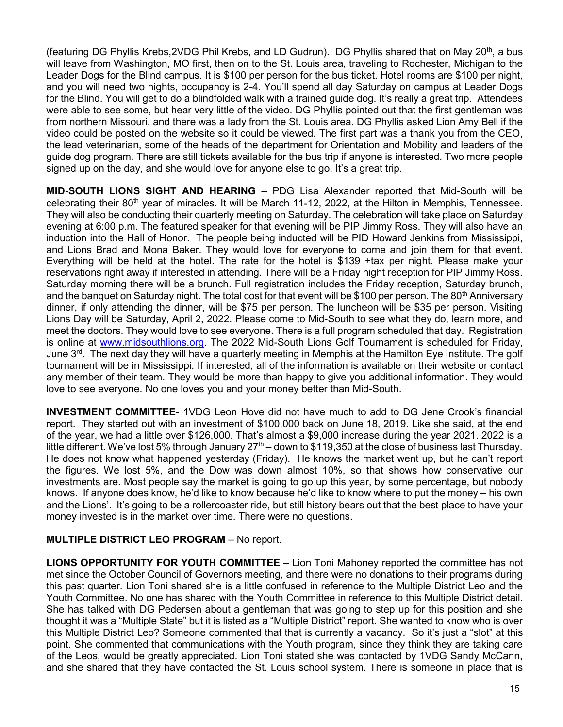(featuring DG Phyllis Krebs, 2VDG Phil Krebs, and LD Gudrun). DG Phyllis shared that on May 20<sup>th</sup>, a bus will leave from Washington, MO first, then on to the St. Louis area, traveling to Rochester, Michigan to the Leader Dogs for the Blind campus. It is \$100 per person for the bus ticket. Hotel rooms are \$100 per night, and you will need two nights, occupancy is 2-4. You'll spend all day Saturday on campus at Leader Dogs for the Blind. You will get to do a blindfolded walk with a trained guide dog. It's really a great trip. Attendees were able to see some, but hear very little of the video. DG Phyllis pointed out that the first gentleman was from northern Missouri, and there was a lady from the St. Louis area. DG Phyllis asked Lion Amy Bell if the video could be posted on the website so it could be viewed. The first part was a thank you from the CEO, the lead veterinarian, some of the heads of the department for Orientation and Mobility and leaders of the guide dog program. There are still tickets available for the bus trip if anyone is interested. Two more people signed up on the day, and she would love for anyone else to go. It's a great trip.

**MID-SOUTH LIONS SIGHT AND HEARING** – PDG Lisa Alexander reported that Mid-South will be celebrating their 80<sup>th</sup> year of miracles. It will be March 11-12, 2022, at the Hilton in Memphis, Tennessee. They will also be conducting their quarterly meeting on Saturday. The celebration will take place on Saturday evening at 6:00 p.m. The featured speaker for that evening will be PIP Jimmy Ross. They will also have an induction into the Hall of Honor. The people being inducted will be PID Howard Jenkins from Mississippi, and Lions Brad and Mona Baker. They would love for everyone to come and join them for that event. Everything will be held at the hotel. The rate for the hotel is \$139 +tax per night. Please make your reservations right away if interested in attending. There will be a Friday night reception for PIP Jimmy Ross. Saturday morning there will be a brunch. Full registration includes the Friday reception, Saturday brunch, and the banquet on Saturday night. The total cost for that event will be \$100 per person. The 80<sup>th</sup> Anniversary dinner, if only attending the dinner, will be \$75 per person. The luncheon will be \$35 per person. Visiting Lions Day will be Saturday, April 2, 2022. Please come to Mid-South to see what they do, learn more, and meet the doctors. They would love to see everyone. There is a full program scheduled that day. Registration is online at [www.midsouthlions.org.](http://www.midsouthlions.org/) The 2022 Mid-South Lions Golf Tournament is scheduled for Friday, June  $3<sup>rd</sup>$ . The next day they will have a quarterly meeting in Memphis at the Hamilton Eye Institute. The golf tournament will be in Mississippi. If interested, all of the information is available on their website or contact any member of their team. They would be more than happy to give you additional information. They would love to see everyone. No one loves you and your money better than Mid-South.

**INVESTMENT COMMITTEE**- 1VDG Leon Hove did not have much to add to DG Jene Crook's financial report. They started out with an investment of \$100,000 back on June 18, 2019. Like she said, at the end of the year, we had a little over \$126,000. That's almost a \$9,000 increase during the year 2021. 2022 is a little different. We've lost 5% through January  $27<sup>th</sup>$  – down to \$119,350 at the close of business last Thursday. He does not know what happened yesterday (Friday). He knows the market went up, but he can't report the figures. We lost 5%, and the Dow was down almost 10%, so that shows how conservative our investments are. Most people say the market is going to go up this year, by some percentage, but nobody knows. If anyone does know, he'd like to know because he'd like to know where to put the money – his own and the Lions'. It's going to be a rollercoaster ride, but still history bears out that the best place to have your money invested is in the market over time. There were no questions.

### **MULTIPLE DISTRICT LEO PROGRAM** – No report.

**LIONS OPPORTUNITY FOR YOUTH COMMITTEE** – Lion Toni Mahoney reported the committee has not met since the October Council of Governors meeting, and there were no donations to their programs during this past quarter. Lion Toni shared she is a little confused in reference to the Multiple District Leo and the Youth Committee. No one has shared with the Youth Committee in reference to this Multiple District detail. She has talked with DG Pedersen about a gentleman that was going to step up for this position and she thought it was a "Multiple State" but it is listed as a "Multiple District" report. She wanted to know who is over this Multiple District Leo? Someone commented that that is currently a vacancy. So it's just a "slot" at this point. She commented that communications with the Youth program, since they think they are taking care of the Leos, would be greatly appreciated. Lion Toni stated she was contacted by 1VDG Sandy McCann, and she shared that they have contacted the St. Louis school system. There is someone in place that is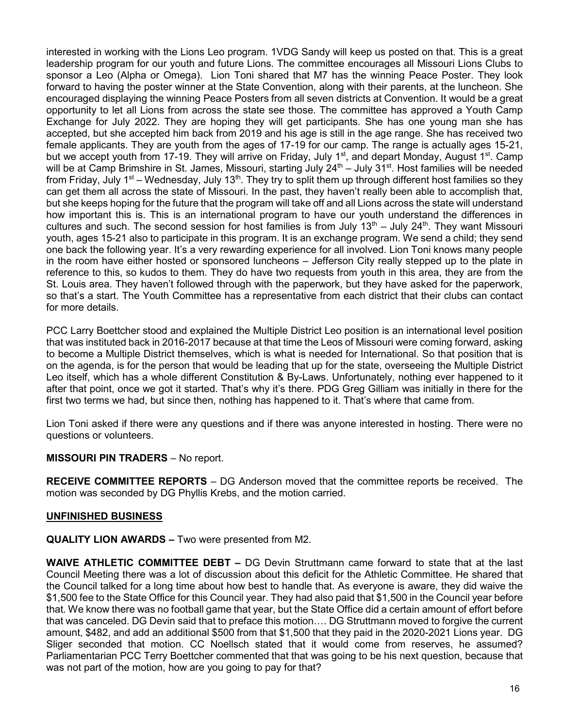interested in working with the Lions Leo program. 1VDG Sandy will keep us posted on that. This is a great leadership program for our youth and future Lions. The committee encourages all Missouri Lions Clubs to sponsor a Leo (Alpha or Omega). Lion Toni shared that M7 has the winning Peace Poster. They look forward to having the poster winner at the State Convention, along with their parents, at the luncheon. She encouraged displaying the winning Peace Posters from all seven districts at Convention. It would be a great opportunity to let all Lions from across the state see those. The committee has approved a Youth Camp Exchange for July 2022. They are hoping they will get participants. She has one young man she has accepted, but she accepted him back from 2019 and his age is still in the age range. She has received two female applicants. They are youth from the ages of 17-19 for our camp. The range is actually ages 15-21, but we accept youth from 17-19. They will arrive on Friday, July 1<sup>st</sup>, and depart Monday, August 1<sup>st</sup>. Camp will be at Camp Brimshire in St. James, Missouri, starting July 24<sup>th</sup> – July 31<sup>st</sup>. Host families will be needed from Friday, July 1<sup>st</sup> – Wednesday, July 13<sup>th</sup>. They try to split them up through different host families so they can get them all across the state of Missouri. In the past, they haven't really been able to accomplish that, but she keeps hoping for the future that the program will take off and all Lions across the state will understand how important this is. This is an international program to have our youth understand the differences in cultures and such. The second session for host families is from July  $13<sup>th</sup>$  – July  $24<sup>th</sup>$ . They want Missouri youth, ages 15-21 also to participate in this program. It is an exchange program. We send a child; they send one back the following year. It's a very rewarding experience for all involved. Lion Toni knows many people in the room have either hosted or sponsored luncheons – Jefferson City really stepped up to the plate in reference to this, so kudos to them. They do have two requests from youth in this area, they are from the St. Louis area. They haven't followed through with the paperwork, but they have asked for the paperwork, so that's a start. The Youth Committee has a representative from each district that their clubs can contact for more details.

PCC Larry Boettcher stood and explained the Multiple District Leo position is an international level position that was instituted back in 2016-2017 because at that time the Leos of Missouri were coming forward, asking to become a Multiple District themselves, which is what is needed for International. So that position that is on the agenda, is for the person that would be leading that up for the state, overseeing the Multiple District Leo itself, which has a whole different Constitution & By-Laws. Unfortunately, nothing ever happened to it after that point, once we got it started. That's why it's there. PDG Greg Gilliam was initially in there for the first two terms we had, but since then, nothing has happened to it. That's where that came from.

Lion Toni asked if there were any questions and if there was anyone interested in hosting. There were no questions or volunteers.

# **MISSOURI PIN TRADERS** – No report.

**RECEIVE COMMITTEE REPORTS** – DG Anderson moved that the committee reports be received. The motion was seconded by DG Phyllis Krebs, and the motion carried.

### **UNFINISHED BUSINESS**

**QUALITY LION AWARDS –** Two were presented from M2.

**WAIVE ATHLETIC COMMITTEE DEBT –** DG Devin Struttmann came forward to state that at the last Council Meeting there was a lot of discussion about this deficit for the Athletic Committee. He shared that the Council talked for a long time about how best to handle that. As everyone is aware, they did waive the \$1,500 fee to the State Office for this Council year. They had also paid that \$1,500 in the Council year before that. We know there was no football game that year, but the State Office did a certain amount of effort before that was canceled. DG Devin said that to preface this motion…. DG Struttmann moved to forgive the current amount, \$482, and add an additional \$500 from that \$1,500 that they paid in the 2020-2021 Lions year. DG Sliger seconded that motion. CC Noellsch stated that it would come from reserves, he assumed? Parliamentarian PCC Terry Boettcher commented that that was going to be his next question, because that was not part of the motion, how are you going to pay for that?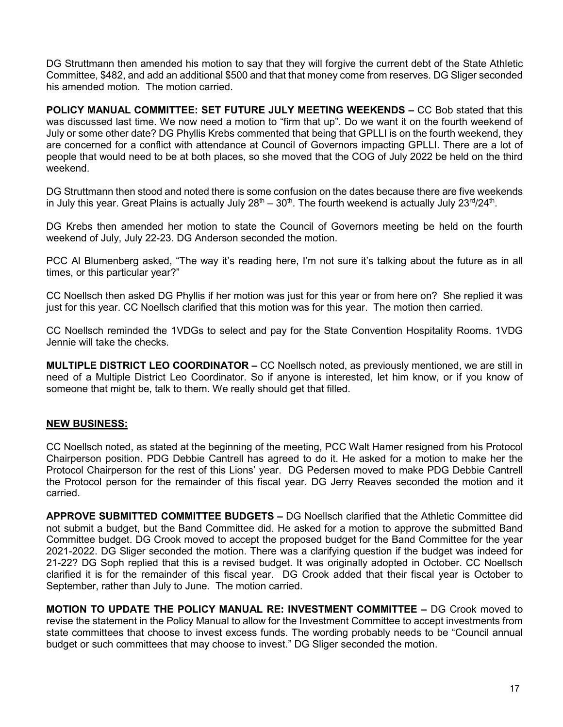DG Struttmann then amended his motion to say that they will forgive the current debt of the State Athletic Committee, \$482, and add an additional \$500 and that that money come from reserves. DG Sliger seconded his amended motion. The motion carried.

**POLICY MANUAL COMMITTEE: SET FUTURE JULY MEETING WEEKENDS –** CC Bob stated that this was discussed last time. We now need a motion to "firm that up". Do we want it on the fourth weekend of July or some other date? DG Phyllis Krebs commented that being that GPLLI is on the fourth weekend, they are concerned for a conflict with attendance at Council of Governors impacting GPLLI. There are a lot of people that would need to be at both places, so she moved that the COG of July 2022 be held on the third weekend.

DG Struttmann then stood and noted there is some confusion on the dates because there are five weekends in July this year. Great Plains is actually July  $28^{th} - 30^{th}$ . The fourth weekend is actually July  $23^{rd}/24^{th}$ .

DG Krebs then amended her motion to state the Council of Governors meeting be held on the fourth weekend of July, July 22-23. DG Anderson seconded the motion.

PCC Al Blumenberg asked, "The way it's reading here, I'm not sure it's talking about the future as in all times, or this particular year?"

CC Noellsch then asked DG Phyllis if her motion was just for this year or from here on? She replied it was just for this year. CC Noellsch clarified that this motion was for this year. The motion then carried.

CC Noellsch reminded the 1VDGs to select and pay for the State Convention Hospitality Rooms. 1VDG Jennie will take the checks.

**MULTIPLE DISTRICT LEO COORDINATOR –** CC Noellsch noted, as previously mentioned, we are still in need of a Multiple District Leo Coordinator. So if anyone is interested, let him know, or if you know of someone that might be, talk to them. We really should get that filled.

### **NEW BUSINESS:**

CC Noellsch noted, as stated at the beginning of the meeting, PCC Walt Hamer resigned from his Protocol Chairperson position. PDG Debbie Cantrell has agreed to do it. He asked for a motion to make her the Protocol Chairperson for the rest of this Lions' year. DG Pedersen moved to make PDG Debbie Cantrell the Protocol person for the remainder of this fiscal year. DG Jerry Reaves seconded the motion and it carried.

**APPROVE SUBMITTED COMMITTEE BUDGETS –** DG Noellsch clarified that the Athletic Committee did not submit a budget, but the Band Committee did. He asked for a motion to approve the submitted Band Committee budget. DG Crook moved to accept the proposed budget for the Band Committee for the year 2021-2022. DG Sliger seconded the motion. There was a clarifying question if the budget was indeed for 21-22? DG Soph replied that this is a revised budget. It was originally adopted in October. CC Noellsch clarified it is for the remainder of this fiscal year. DG Crook added that their fiscal year is October to September, rather than July to June. The motion carried.

**MOTION TO UPDATE THE POLICY MANUAL RE: INVESTMENT COMMITTEE –** DG Crook moved to revise the statement in the Policy Manual to allow for the Investment Committee to accept investments from state committees that choose to invest excess funds. The wording probably needs to be "Council annual budget or such committees that may choose to invest." DG Sliger seconded the motion.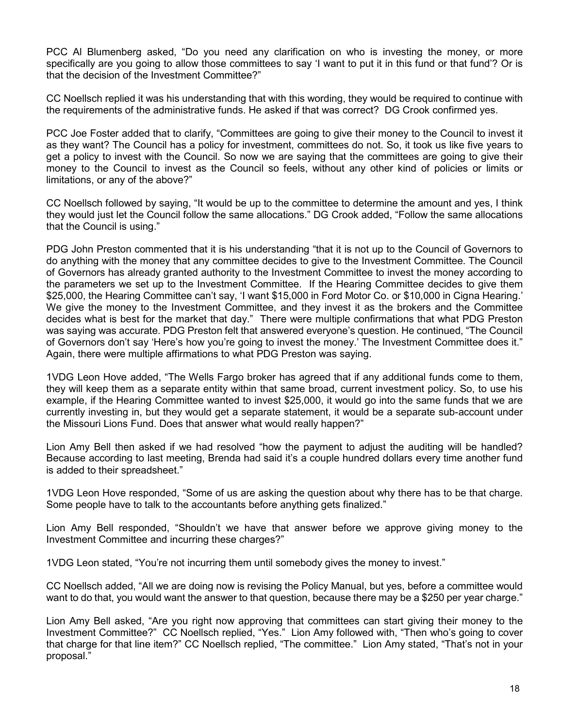PCC Al Blumenberg asked, "Do you need any clarification on who is investing the money, or more specifically are you going to allow those committees to say 'I want to put it in this fund or that fund'? Or is that the decision of the Investment Committee?"

CC Noellsch replied it was his understanding that with this wording, they would be required to continue with the requirements of the administrative funds. He asked if that was correct? DG Crook confirmed yes.

PCC Joe Foster added that to clarify, "Committees are going to give their money to the Council to invest it as they want? The Council has a policy for investment, committees do not. So, it took us like five years to get a policy to invest with the Council. So now we are saying that the committees are going to give their money to the Council to invest as the Council so feels, without any other kind of policies or limits or limitations, or any of the above?"

CC Noellsch followed by saying, "It would be up to the committee to determine the amount and yes, I think they would just let the Council follow the same allocations." DG Crook added, "Follow the same allocations that the Council is using."

PDG John Preston commented that it is his understanding "that it is not up to the Council of Governors to do anything with the money that any committee decides to give to the Investment Committee. The Council of Governors has already granted authority to the Investment Committee to invest the money according to the parameters we set up to the Investment Committee. If the Hearing Committee decides to give them \$25,000, the Hearing Committee can't say, 'I want \$15,000 in Ford Motor Co. or \$10,000 in Cigna Hearing.' We give the money to the Investment Committee, and they invest it as the brokers and the Committee decides what is best for the market that day." There were multiple confirmations that what PDG Preston was saying was accurate. PDG Preston felt that answered everyone's question. He continued, "The Council of Governors don't say 'Here's how you're going to invest the money.' The Investment Committee does it." Again, there were multiple affirmations to what PDG Preston was saying.

1VDG Leon Hove added, "The Wells Fargo broker has agreed that if any additional funds come to them, they will keep them as a separate entity within that same broad, current investment policy. So, to use his example, if the Hearing Committee wanted to invest \$25,000, it would go into the same funds that we are currently investing in, but they would get a separate statement, it would be a separate sub-account under the Missouri Lions Fund. Does that answer what would really happen?"

Lion Amy Bell then asked if we had resolved "how the payment to adjust the auditing will be handled? Because according to last meeting, Brenda had said it's a couple hundred dollars every time another fund is added to their spreadsheet."

1VDG Leon Hove responded, "Some of us are asking the question about why there has to be that charge. Some people have to talk to the accountants before anything gets finalized."

Lion Amy Bell responded, "Shouldn't we have that answer before we approve giving money to the Investment Committee and incurring these charges?"

1VDG Leon stated, "You're not incurring them until somebody gives the money to invest."

CC Noellsch added, "All we are doing now is revising the Policy Manual, but yes, before a committee would want to do that, you would want the answer to that question, because there may be a \$250 per year charge."

Lion Amy Bell asked, "Are you right now approving that committees can start giving their money to the Investment Committee?" CC Noellsch replied, "Yes." Lion Amy followed with, "Then who's going to cover that charge for that line item?" CC Noellsch replied, "The committee." Lion Amy stated, "That's not in your proposal."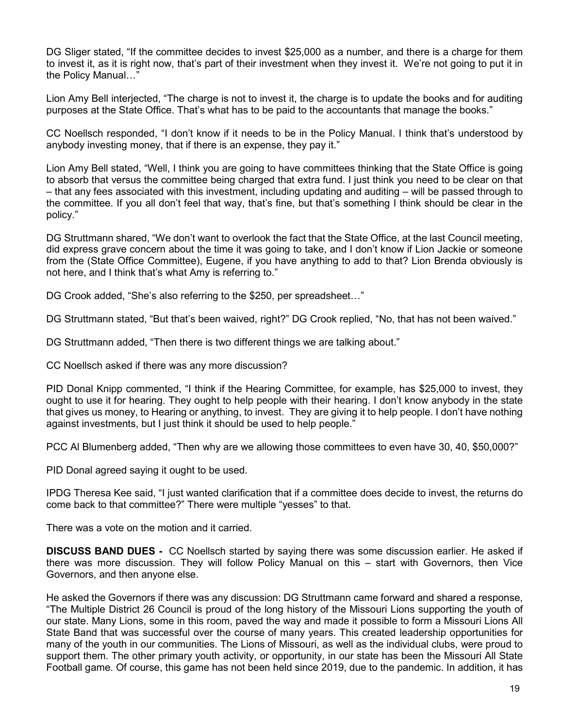DG Sliger stated, "If the committee decides to invest \$25,000 as a number, and there is a charge for them to invest it, as it is right now, that's part of their investment when they invest it. We're not going to put it in the Policy Manual…"

Lion Amy Bell interjected, "The charge is not to invest it, the charge is to update the books and for auditing purposes at the State Office. That's what has to be paid to the accountants that manage the books."

CC Noellsch responded, "I don't know if it needs to be in the Policy Manual. I think that's understood by anybody investing money, that if there is an expense, they pay it."

Lion Amy Bell stated, "Well, I think you are going to have committees thinking that the State Office is going to absorb that versus the committee being charged that extra fund. I just think you need to be clear on that – that any fees associated with this investment, including updating and auditing – will be passed through to the committee. If you all don't feel that way, that's fine, but that's something I think should be clear in the policy."

DG Struttmann shared, "We don't want to overlook the fact that the State Office, at the last Council meeting, did express grave concern about the time it was going to take, and I don't know if Lion Jackie or someone from the (State Office Committee), Eugene, if you have anything to add to that? Lion Brenda obviously is not here, and I think that's what Amy is referring to."

DG Crook added, "She's also referring to the \$250, per spreadsheet…"

DG Struttmann stated, "But that's been waived, right?" DG Crook replied, "No, that has not been waived."

DG Struttmann added, "Then there is two different things we are talking about."

CC Noellsch asked if there was any more discussion?

PID Donal Knipp commented, "I think if the Hearing Committee, for example, has \$25,000 to invest, they ought to use it for hearing. They ought to help people with their hearing. I don't know anybody in the state that gives us money, to Hearing or anything, to invest. They are giving it to help people. I don't have nothing against investments, but I just think it should be used to help people."

PCC Al Blumenberg added, "Then why are we allowing those committees to even have 30, 40, \$50,000?"

PID Donal agreed saying it ought to be used.

IPDG Theresa Kee said, "I just wanted clarification that if a committee does decide to invest, the returns do come back to that committee?" There were multiple "yesses" to that.

There was a vote on the motion and it carried.

**DISCUSS BAND DUES -** CC Noellsch started by saying there was some discussion earlier. He asked if there was more discussion. They will follow Policy Manual on this – start with Governors, then Vice Governors, and then anyone else.

He asked the Governors if there was any discussion: DG Struttmann came forward and shared a response, "The Multiple District 26 Council is proud of the long history of the Missouri Lions supporting the youth of our state. Many Lions, some in this room, paved the way and made it possible to form a Missouri Lions All State Band that was successful over the course of many years. This created leadership opportunities for many of the youth in our communities. The Lions of Missouri, as well as the individual clubs, were proud to support them. The other primary youth activity, or opportunity, in our state has been the Missouri All State Football game. Of course, this game has not been held since 2019, due to the pandemic. In addition, it has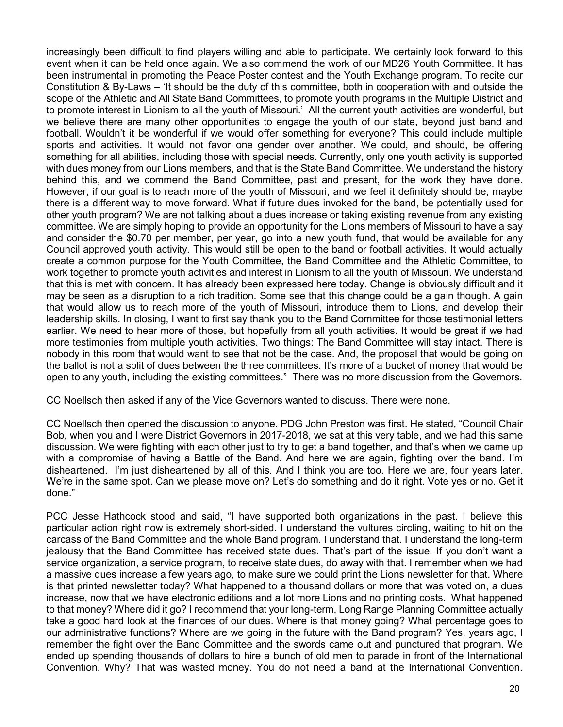increasingly been difficult to find players willing and able to participate. We certainly look forward to this event when it can be held once again. We also commend the work of our MD26 Youth Committee. It has been instrumental in promoting the Peace Poster contest and the Youth Exchange program. To recite our Constitution & By-Laws – 'It should be the duty of this committee, both in cooperation with and outside the scope of the Athletic and All State Band Committees, to promote youth programs in the Multiple District and to promote interest in Lionism to all the youth of Missouri.' All the current youth activities are wonderful, but we believe there are many other opportunities to engage the youth of our state, beyond just band and football. Wouldn't it be wonderful if we would offer something for everyone? This could include multiple sports and activities. It would not favor one gender over another. We could, and should, be offering something for all abilities, including those with special needs. Currently, only one youth activity is supported with dues money from our Lions members, and that is the State Band Committee. We understand the history behind this, and we commend the Band Committee, past and present, for the work they have done. However, if our goal is to reach more of the youth of Missouri, and we feel it definitely should be, maybe there is a different way to move forward. What if future dues invoked for the band, be potentially used for other youth program? We are not talking about a dues increase or taking existing revenue from any existing committee. We are simply hoping to provide an opportunity for the Lions members of Missouri to have a say and consider the \$0.70 per member, per year, go into a new youth fund, that would be available for any Council approved youth activity. This would still be open to the band or football activities. It would actually create a common purpose for the Youth Committee, the Band Committee and the Athletic Committee, to work together to promote youth activities and interest in Lionism to all the youth of Missouri. We understand that this is met with concern. It has already been expressed here today. Change is obviously difficult and it may be seen as a disruption to a rich tradition. Some see that this change could be a gain though. A gain that would allow us to reach more of the youth of Missouri, introduce them to Lions, and develop their leadership skills. In closing, I want to first say thank you to the Band Committee for those testimonial letters earlier. We need to hear more of those, but hopefully from all youth activities. It would be great if we had more testimonies from multiple youth activities. Two things: The Band Committee will stay intact. There is nobody in this room that would want to see that not be the case. And, the proposal that would be going on the ballot is not a split of dues between the three committees. It's more of a bucket of money that would be open to any youth, including the existing committees." There was no more discussion from the Governors.

CC Noellsch then asked if any of the Vice Governors wanted to discuss. There were none.

CC Noellsch then opened the discussion to anyone. PDG John Preston was first. He stated, "Council Chair Bob, when you and I were District Governors in 2017-2018, we sat at this very table, and we had this same discussion. We were fighting with each other just to try to get a band together, and that's when we came up with a compromise of having a Battle of the Band. And here we are again, fighting over the band. I'm disheartened. I'm just disheartened by all of this. And I think you are too. Here we are, four years later. We're in the same spot. Can we please move on? Let's do something and do it right. Vote yes or no. Get it done."

PCC Jesse Hathcock stood and said, "I have supported both organizations in the past. I believe this particular action right now is extremely short-sided. I understand the vultures circling, waiting to hit on the carcass of the Band Committee and the whole Band program. I understand that. I understand the long-term jealousy that the Band Committee has received state dues. That's part of the issue. If you don't want a service organization, a service program, to receive state dues, do away with that. I remember when we had a massive dues increase a few years ago, to make sure we could print the Lions newsletter for that. Where is that printed newsletter today? What happened to a thousand dollars or more that was voted on, a dues increase, now that we have electronic editions and a lot more Lions and no printing costs. What happened to that money? Where did it go? I recommend that your long-term, Long Range Planning Committee actually take a good hard look at the finances of our dues. Where is that money going? What percentage goes to our administrative functions? Where are we going in the future with the Band program? Yes, years ago, I remember the fight over the Band Committee and the swords came out and punctured that program. We ended up spending thousands of dollars to hire a bunch of old men to parade in front of the International Convention. Why? That was wasted money. You do not need a band at the International Convention.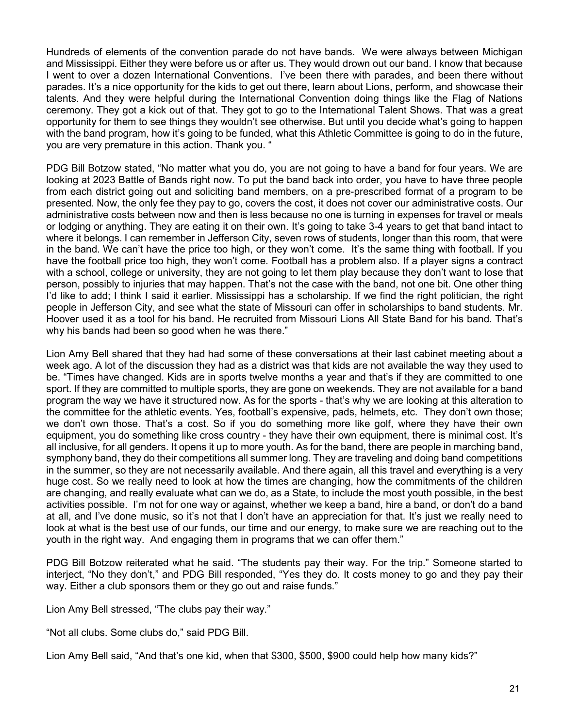Hundreds of elements of the convention parade do not have bands. We were always between Michigan and Mississippi. Either they were before us or after us. They would drown out our band. I know that because I went to over a dozen International Conventions. I've been there with parades, and been there without parades. It's a nice opportunity for the kids to get out there, learn about Lions, perform, and showcase their talents. And they were helpful during the International Convention doing things like the Flag of Nations ceremony. They got a kick out of that. They got to go to the International Talent Shows. That was a great opportunity for them to see things they wouldn't see otherwise. But until you decide what's going to happen with the band program, how it's going to be funded, what this Athletic Committee is going to do in the future, you are very premature in this action. Thank you. "

PDG Bill Botzow stated, "No matter what you do, you are not going to have a band for four years. We are looking at 2023 Battle of Bands right now. To put the band back into order, you have to have three people from each district going out and soliciting band members, on a pre-prescribed format of a program to be presented. Now, the only fee they pay to go, covers the cost, it does not cover our administrative costs. Our administrative costs between now and then is less because no one is turning in expenses for travel or meals or lodging or anything. They are eating it on their own. It's going to take 3-4 years to get that band intact to where it belongs. I can remember in Jefferson City, seven rows of students, longer than this room, that were in the band. We can't have the price too high, or they won't come. It's the same thing with football. If you have the football price too high, they won't come. Football has a problem also. If a player signs a contract with a school, college or university, they are not going to let them play because they don't want to lose that person, possibly to injuries that may happen. That's not the case with the band, not one bit. One other thing I'd like to add; I think I said it earlier. Mississippi has a scholarship. If we find the right politician, the right people in Jefferson City, and see what the state of Missouri can offer in scholarships to band students. Mr. Hoover used it as a tool for his band. He recruited from Missouri Lions All State Band for his band. That's why his bands had been so good when he was there."

Lion Amy Bell shared that they had had some of these conversations at their last cabinet meeting about a week ago. A lot of the discussion they had as a district was that kids are not available the way they used to be. "Times have changed. Kids are in sports twelve months a year and that's if they are committed to one sport. If they are committed to multiple sports, they are gone on weekends. They are not available for a band program the way we have it structured now. As for the sports - that's why we are looking at this alteration to the committee for the athletic events. Yes, football's expensive, pads, helmets, etc. They don't own those; we don't own those. That's a cost. So if you do something more like golf, where they have their own equipment, you do something like cross country - they have their own equipment, there is minimal cost. It's all inclusive, for all genders. It opens it up to more youth. As for the band, there are people in marching band, symphony band, they do their competitions all summer long. They are traveling and doing band competitions in the summer, so they are not necessarily available. And there again, all this travel and everything is a very huge cost. So we really need to look at how the times are changing, how the commitments of the children are changing, and really evaluate what can we do, as a State, to include the most youth possible, in the best activities possible. I'm not for one way or against, whether we keep a band, hire a band, or don't do a band at all, and I've done music, so it's not that I don't have an appreciation for that. It's just we really need to look at what is the best use of our funds, our time and our energy, to make sure we are reaching out to the youth in the right way. And engaging them in programs that we can offer them."

PDG Bill Botzow reiterated what he said. "The students pay their way. For the trip." Someone started to interject, "No they don't," and PDG Bill responded, "Yes they do. It costs money to go and they pay their way. Either a club sponsors them or they go out and raise funds."

Lion Amy Bell stressed, "The clubs pay their way."

"Not all clubs. Some clubs do," said PDG Bill.

Lion Amy Bell said, "And that's one kid, when that \$300, \$500, \$900 could help how many kids?"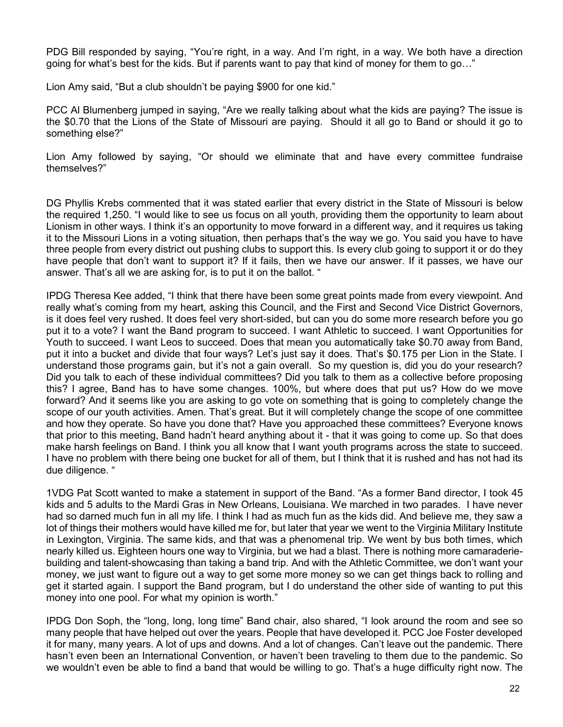PDG Bill responded by saying, "You're right, in a way. And I'm right, in a way. We both have a direction going for what's best for the kids. But if parents want to pay that kind of money for them to go…"

Lion Amy said, "But a club shouldn't be paying \$900 for one kid."

PCC Al Blumenberg jumped in saying, "Are we really talking about what the kids are paying? The issue is the \$0.70 that the Lions of the State of Missouri are paying. Should it all go to Band or should it go to something else?"

Lion Amy followed by saying, "Or should we eliminate that and have every committee fundraise themselves?"

DG Phyllis Krebs commented that it was stated earlier that every district in the State of Missouri is below the required 1,250. "I would like to see us focus on all youth, providing them the opportunity to learn about Lionism in other ways. I think it's an opportunity to move forward in a different way, and it requires us taking it to the Missouri Lions in a voting situation, then perhaps that's the way we go. You said you have to have three people from every district out pushing clubs to support this. Is every club going to support it or do they have people that don't want to support it? If it fails, then we have our answer. If it passes, we have our answer. That's all we are asking for, is to put it on the ballot. "

IPDG Theresa Kee added, "I think that there have been some great points made from every viewpoint. And really what's coming from my heart, asking this Council, and the First and Second Vice District Governors, is it does feel very rushed. It does feel very short-sided, but can you do some more research before you go put it to a vote? I want the Band program to succeed. I want Athletic to succeed. I want Opportunities for Youth to succeed. I want Leos to succeed. Does that mean you automatically take \$0.70 away from Band, put it into a bucket and divide that four ways? Let's just say it does. That's \$0.175 per Lion in the State. I understand those programs gain, but it's not a gain overall. So my question is, did you do your research? Did you talk to each of these individual committees? Did you talk to them as a collective before proposing this? I agree, Band has to have some changes. 100%, but where does that put us? How do we move forward? And it seems like you are asking to go vote on something that is going to completely change the scope of our youth activities. Amen. That's great. But it will completely change the scope of one committee and how they operate. So have you done that? Have you approached these committees? Everyone knows that prior to this meeting, Band hadn't heard anything about it - that it was going to come up. So that does make harsh feelings on Band. I think you all know that I want youth programs across the state to succeed. I have no problem with there being one bucket for all of them, but I think that it is rushed and has not had its due diligence. "

1VDG Pat Scott wanted to make a statement in support of the Band. "As a former Band director, I took 45 kids and 5 adults to the Mardi Gras in New Orleans, Louisiana. We marched in two parades. I have never had so darned much fun in all my life. I think I had as much fun as the kids did. And believe me, they saw a lot of things their mothers would have killed me for, but later that year we went to the Virginia Military Institute in Lexington, Virginia. The same kids, and that was a phenomenal trip. We went by bus both times, which nearly killed us. Eighteen hours one way to Virginia, but we had a blast. There is nothing more camaraderiebuilding and talent-showcasing than taking a band trip. And with the Athletic Committee, we don't want your money, we just want to figure out a way to get some more money so we can get things back to rolling and get it started again. I support the Band program, but I do understand the other side of wanting to put this money into one pool. For what my opinion is worth."

IPDG Don Soph, the "long, long, long time" Band chair, also shared, "I look around the room and see so many people that have helped out over the years. People that have developed it. PCC Joe Foster developed it for many, many years. A lot of ups and downs. And a lot of changes. Can't leave out the pandemic. There hasn't even been an International Convention, or haven't been traveling to them due to the pandemic. So we wouldn't even be able to find a band that would be willing to go. That's a huge difficulty right now. The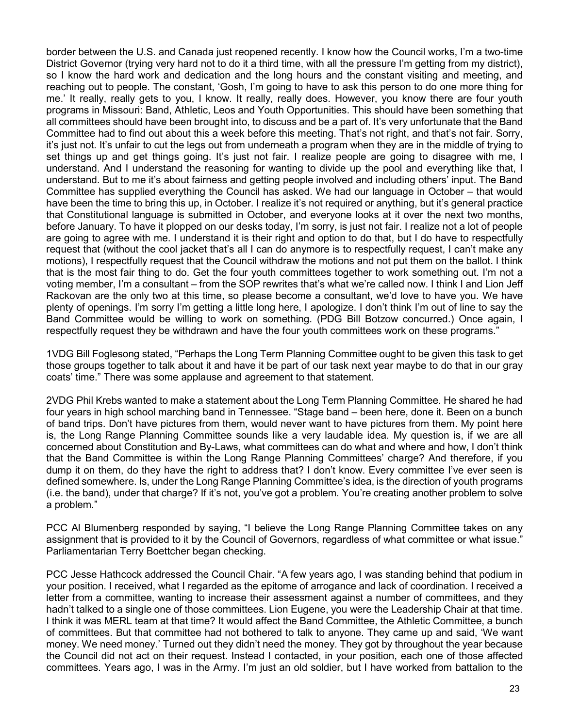border between the U.S. and Canada just reopened recently. I know how the Council works, I'm a two-time District Governor (trying very hard not to do it a third time, with all the pressure I'm getting from my district), so I know the hard work and dedication and the long hours and the constant visiting and meeting, and reaching out to people. The constant, 'Gosh, I'm going to have to ask this person to do one more thing for me.' It really, really gets to you, I know. It really, really does. However, you know there are four youth programs in Missouri: Band, Athletic, Leos and Youth Opportunities. This should have been something that all committees should have been brought into, to discuss and be a part of. It's very unfortunate that the Band Committee had to find out about this a week before this meeting. That's not right, and that's not fair. Sorry, it's just not. It's unfair to cut the legs out from underneath a program when they are in the middle of trying to set things up and get things going. It's just not fair. I realize people are going to disagree with me, I understand. And I understand the reasoning for wanting to divide up the pool and everything like that, I understand. But to me it's about fairness and getting people involved and including others' input. The Band Committee has supplied everything the Council has asked. We had our language in October – that would have been the time to bring this up, in October. I realize it's not required or anything, but it's general practice that Constitutional language is submitted in October, and everyone looks at it over the next two months, before January. To have it plopped on our desks today, I'm sorry, is just not fair. I realize not a lot of people are going to agree with me. I understand it is their right and option to do that, but I do have to respectfully request that (without the cool jacket that's all I can do anymore is to respectfully request, I can't make any motions), I respectfully request that the Council withdraw the motions and not put them on the ballot. I think that is the most fair thing to do. Get the four youth committees together to work something out. I'm not a voting member, I'm a consultant – from the SOP rewrites that's what we're called now. I think I and Lion Jeff Rackovan are the only two at this time, so please become a consultant, we'd love to have you. We have plenty of openings. I'm sorry I'm getting a little long here, I apologize. I don't think I'm out of line to say the Band Committee would be willing to work on something. (PDG Bill Botzow concurred.) Once again, I respectfully request they be withdrawn and have the four youth committees work on these programs."

1VDG Bill Foglesong stated, "Perhaps the Long Term Planning Committee ought to be given this task to get those groups together to talk about it and have it be part of our task next year maybe to do that in our gray coats' time." There was some applause and agreement to that statement.

2VDG Phil Krebs wanted to make a statement about the Long Term Planning Committee. He shared he had four years in high school marching band in Tennessee. "Stage band – been here, done it. Been on a bunch of band trips. Don't have pictures from them, would never want to have pictures from them. My point here is, the Long Range Planning Committee sounds like a very laudable idea. My question is, if we are all concerned about Constitution and By-Laws, what committees can do what and where and how, I don't think that the Band Committee is within the Long Range Planning Committees' charge? And therefore, if you dump it on them, do they have the right to address that? I don't know. Every committee I've ever seen is defined somewhere. Is, under the Long Range Planning Committee's idea, is the direction of youth programs (i.e. the band), under that charge? If it's not, you've got a problem. You're creating another problem to solve a problem."

PCC Al Blumenberg responded by saying, "I believe the Long Range Planning Committee takes on any assignment that is provided to it by the Council of Governors, regardless of what committee or what issue." Parliamentarian Terry Boettcher began checking.

PCC Jesse Hathcock addressed the Council Chair. "A few years ago, I was standing behind that podium in your position. I received, what I regarded as the epitome of arrogance and lack of coordination. I received a letter from a committee, wanting to increase their assessment against a number of committees, and they hadn't talked to a single one of those committees. Lion Eugene, you were the Leadership Chair at that time. I think it was MERL team at that time? It would affect the Band Committee, the Athletic Committee, a bunch of committees. But that committee had not bothered to talk to anyone. They came up and said, 'We want money. We need money.' Turned out they didn't need the money. They got by throughout the year because the Council did not act on their request. Instead I contacted, in your position, each one of those affected committees. Years ago, I was in the Army. I'm just an old soldier, but I have worked from battalion to the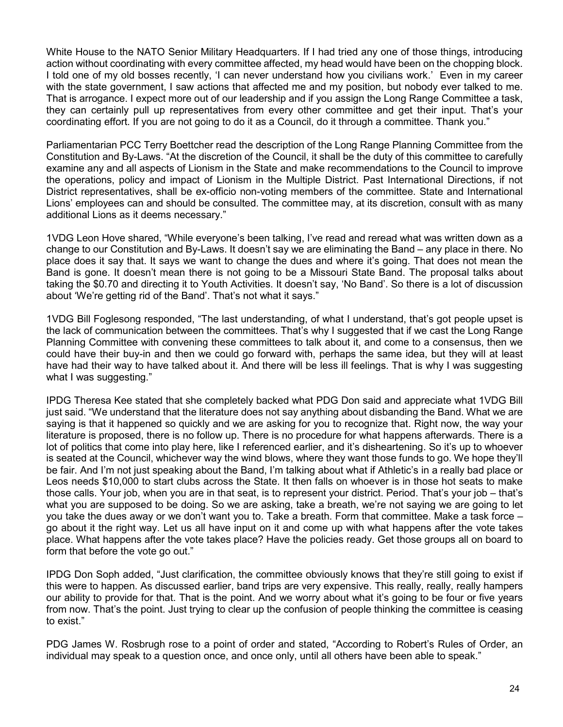White House to the NATO Senior Military Headquarters. If I had tried any one of those things, introducing action without coordinating with every committee affected, my head would have been on the chopping block. I told one of my old bosses recently, 'I can never understand how you civilians work.' Even in my career with the state government, I saw actions that affected me and my position, but nobody ever talked to me. That is arrogance. I expect more out of our leadership and if you assign the Long Range Committee a task, they can certainly pull up representatives from every other committee and get their input. That's your coordinating effort. If you are not going to do it as a Council, do it through a committee. Thank you."

Parliamentarian PCC Terry Boettcher read the description of the Long Range Planning Committee from the Constitution and By-Laws. "At the discretion of the Council, it shall be the duty of this committee to carefully examine any and all aspects of Lionism in the State and make recommendations to the Council to improve the operations, policy and impact of Lionism in the Multiple District. Past International Directions, if not District representatives, shall be ex-officio non-voting members of the committee. State and International Lions' employees can and should be consulted. The committee may, at its discretion, consult with as many additional Lions as it deems necessary."

1VDG Leon Hove shared, "While everyone's been talking, I've read and reread what was written down as a change to our Constitution and By-Laws. It doesn't say we are eliminating the Band – any place in there. No place does it say that. It says we want to change the dues and where it's going. That does not mean the Band is gone. It doesn't mean there is not going to be a Missouri State Band. The proposal talks about taking the \$0.70 and directing it to Youth Activities. It doesn't say, 'No Band'. So there is a lot of discussion about 'We're getting rid of the Band'. That's not what it says."

1VDG Bill Foglesong responded, "The last understanding, of what I understand, that's got people upset is the lack of communication between the committees. That's why I suggested that if we cast the Long Range Planning Committee with convening these committees to talk about it, and come to a consensus, then we could have their buy-in and then we could go forward with, perhaps the same idea, but they will at least have had their way to have talked about it. And there will be less ill feelings. That is why I was suggesting what I was suggesting."

IPDG Theresa Kee stated that she completely backed what PDG Don said and appreciate what 1VDG Bill just said. "We understand that the literature does not say anything about disbanding the Band. What we are saying is that it happened so quickly and we are asking for you to recognize that. Right now, the way your literature is proposed, there is no follow up. There is no procedure for what happens afterwards. There is a lot of politics that come into play here, like I referenced earlier, and it's disheartening. So it's up to whoever is seated at the Council, whichever way the wind blows, where they want those funds to go. We hope they'll be fair. And I'm not just speaking about the Band, I'm talking about what if Athletic's in a really bad place or Leos needs \$10,000 to start clubs across the State. It then falls on whoever is in those hot seats to make those calls. Your job, when you are in that seat, is to represent your district. Period. That's your job – that's what you are supposed to be doing. So we are asking, take a breath, we're not saying we are going to let you take the dues away or we don't want you to. Take a breath. Form that committee. Make a task force – go about it the right way. Let us all have input on it and come up with what happens after the vote takes place. What happens after the vote takes place? Have the policies ready. Get those groups all on board to form that before the vote go out."

IPDG Don Soph added, "Just clarification, the committee obviously knows that they're still going to exist if this were to happen. As discussed earlier, band trips are very expensive. This really, really, really hampers our ability to provide for that. That is the point. And we worry about what it's going to be four or five years from now. That's the point. Just trying to clear up the confusion of people thinking the committee is ceasing to exist."

PDG James W. Rosbrugh rose to a point of order and stated, "According to Robert's Rules of Order, an individual may speak to a question once, and once only, until all others have been able to speak."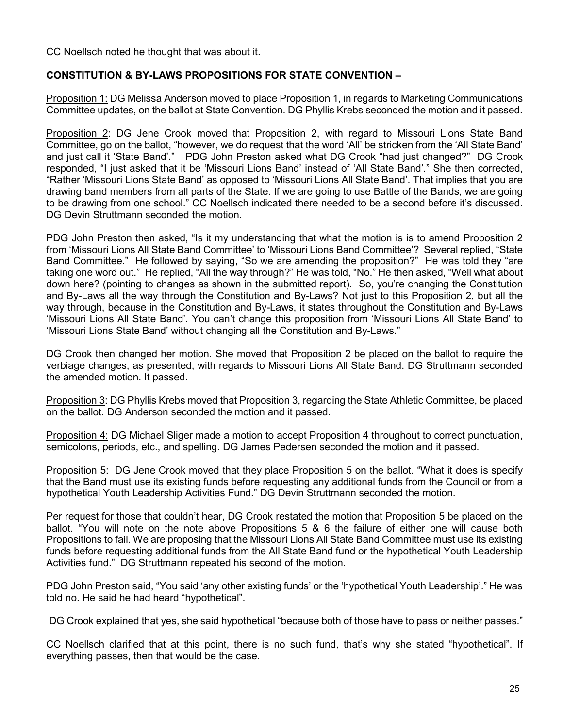CC Noellsch noted he thought that was about it.

## **CONSTITUTION & BY-LAWS PROPOSITIONS FOR STATE CONVENTION –**

Proposition 1: DG Melissa Anderson moved to place Proposition 1, in regards to Marketing Communications Committee updates, on the ballot at State Convention. DG Phyllis Krebs seconded the motion and it passed.

Proposition 2: DG Jene Crook moved that Proposition 2, with regard to Missouri Lions State Band Committee, go on the ballot, "however, we do request that the word 'All' be stricken from the 'All State Band' and just call it 'State Band'." PDG John Preston asked what DG Crook "had just changed?" DG Crook responded, "I just asked that it be 'Missouri Lions Band' instead of 'All State Band'." She then corrected, "Rather 'Missouri Lions State Band' as opposed to 'Missouri Lions All State Band'. That implies that you are drawing band members from all parts of the State. If we are going to use Battle of the Bands, we are going to be drawing from one school." CC Noellsch indicated there needed to be a second before it's discussed. DG Devin Struttmann seconded the motion.

PDG John Preston then asked, "Is it my understanding that what the motion is is to amend Proposition 2 from 'Missouri Lions All State Band Committee' to 'Missouri Lions Band Committee'? Several replied, "State Band Committee." He followed by saying, "So we are amending the proposition?" He was told they "are taking one word out." He replied, "All the way through?" He was told, "No." He then asked, "Well what about down here? (pointing to changes as shown in the submitted report). So, you're changing the Constitution and By-Laws all the way through the Constitution and By-Laws? Not just to this Proposition 2, but all the way through, because in the Constitution and By-Laws, it states throughout the Constitution and By-Laws 'Missouri Lions All State Band'. You can't change this proposition from 'Missouri Lions All State Band' to 'Missouri Lions State Band' without changing all the Constitution and By-Laws."

DG Crook then changed her motion. She moved that Proposition 2 be placed on the ballot to require the verbiage changes, as presented, with regards to Missouri Lions All State Band. DG Struttmann seconded the amended motion. It passed.

Proposition 3: DG Phyllis Krebs moved that Proposition 3, regarding the State Athletic Committee, be placed on the ballot. DG Anderson seconded the motion and it passed.

Proposition 4: DG Michael Sliger made a motion to accept Proposition 4 throughout to correct punctuation, semicolons, periods, etc., and spelling. DG James Pedersen seconded the motion and it passed.

Proposition 5: DG Jene Crook moved that they place Proposition 5 on the ballot. "What it does is specify that the Band must use its existing funds before requesting any additional funds from the Council or from a hypothetical Youth Leadership Activities Fund." DG Devin Struttmann seconded the motion.

Per request for those that couldn't hear, DG Crook restated the motion that Proposition 5 be placed on the ballot. "You will note on the note above Propositions 5 & 6 the failure of either one will cause both Propositions to fail. We are proposing that the Missouri Lions All State Band Committee must use its existing funds before requesting additional funds from the All State Band fund or the hypothetical Youth Leadership Activities fund." DG Struttmann repeated his second of the motion.

PDG John Preston said, "You said 'any other existing funds' or the 'hypothetical Youth Leadership'." He was told no. He said he had heard "hypothetical".

DG Crook explained that yes, she said hypothetical "because both of those have to pass or neither passes."

CC Noellsch clarified that at this point, there is no such fund, that's why she stated "hypothetical". If everything passes, then that would be the case.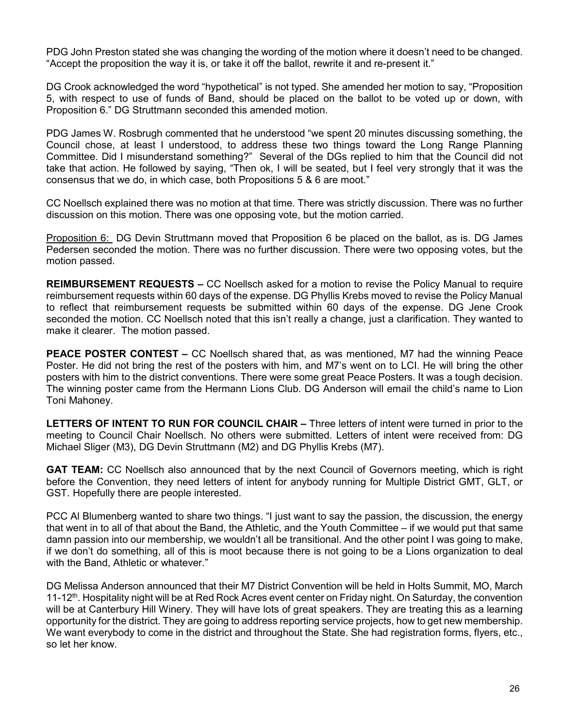PDG John Preston stated she was changing the wording of the motion where it doesn't need to be changed. "Accept the proposition the way it is, or take it off the ballot, rewrite it and re-present it."

DG Crook acknowledged the word "hypothetical" is not typed. She amended her motion to say, "Proposition 5, with respect to use of funds of Band, should be placed on the ballot to be voted up or down, with Proposition 6." DG Struttmann seconded this amended motion.

PDG James W. Rosbrugh commented that he understood "we spent 20 minutes discussing something, the Council chose, at least I understood, to address these two things toward the Long Range Planning Committee. Did I misunderstand something?" Several of the DGs replied to him that the Council did not take that action. He followed by saying, "Then ok, I will be seated, but I feel very strongly that it was the consensus that we do, in which case, both Propositions 5 & 6 are moot."

CC Noellsch explained there was no motion at that time. There was strictly discussion. There was no further discussion on this motion. There was one opposing vote, but the motion carried.

Proposition 6: DG Devin Struttmann moved that Proposition 6 be placed on the ballot, as is. DG James Pedersen seconded the motion. There was no further discussion. There were two opposing votes, but the motion passed.

**REIMBURSEMENT REQUESTS –** CC Noellsch asked for a motion to revise the Policy Manual to require reimbursement requests within 60 days of the expense. DG Phyllis Krebs moved to revise the Policy Manual to reflect that reimbursement requests be submitted within 60 days of the expense. DG Jene Crook seconded the motion. CC Noellsch noted that this isn't really a change, just a clarification. They wanted to make it clearer. The motion passed.

**PEACE POSTER CONTEST –** CC Noellsch shared that, as was mentioned, M7 had the winning Peace Poster. He did not bring the rest of the posters with him, and M7's went on to LCI. He will bring the other posters with him to the district conventions. There were some great Peace Posters. It was a tough decision. The winning poster came from the Hermann Lions Club. DG Anderson will email the child's name to Lion Toni Mahoney.

**LETTERS OF INTENT TO RUN FOR COUNCIL CHAIR –** Three letters of intent were turned in prior to the meeting to Council Chair Noellsch. No others were submitted. Letters of intent were received from: DG Michael Sliger (M3), DG Devin Struttmann (M2) and DG Phyllis Krebs (M7).

**GAT TEAM:** CC Noellsch also announced that by the next Council of Governors meeting, which is right before the Convention, they need letters of intent for anybody running for Multiple District GMT, GLT, or GST. Hopefully there are people interested.

PCC Al Blumenberg wanted to share two things. "I just want to say the passion, the discussion, the energy that went in to all of that about the Band, the Athletic, and the Youth Committee – if we would put that same damn passion into our membership, we wouldn't all be transitional. And the other point I was going to make, if we don't do something, all of this is moot because there is not going to be a Lions organization to deal with the Band, Athletic or whatever."

DG Melissa Anderson announced that their M7 District Convention will be held in Holts Summit, MO, March 11-12<sup>th</sup>. Hospitality night will be at Red Rock Acres event center on Friday night. On Saturday, the convention will be at Canterbury Hill Winery. They will have lots of great speakers. They are treating this as a learning opportunity for the district. They are going to address reporting service projects, how to get new membership. We want everybody to come in the district and throughout the State. She had registration forms, flyers, etc., so let her know.